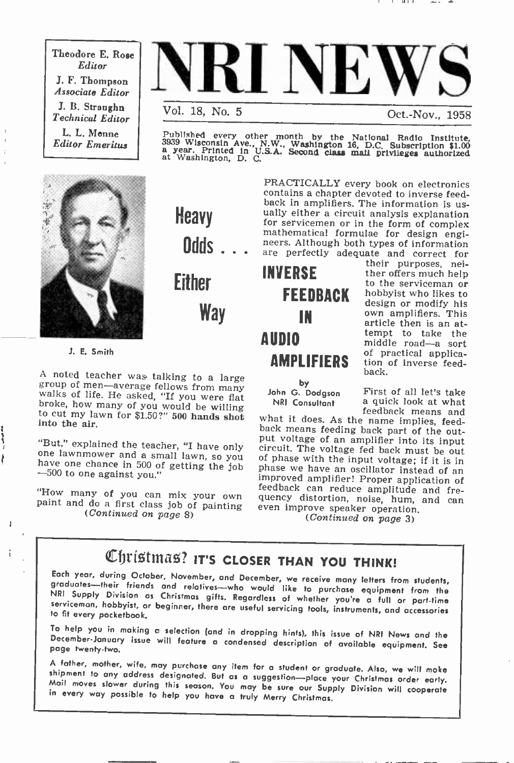Theodore E. Rose Editor J. F. Thompson Associate Editor J. B. Straughn Technical Editor L. L. Menne Editor Emeritus



Oct.-Nov., 1958

Published every other month by the National Radio Institute. 3939 Wisconsin Ave., N.W., Washington 16, D.C. Subscription \$1.00 a year. Printed In U.S.A. Second class mail privileges authorized at Washington, D. C.



Heavy mathematical formulae for design engineers. Although both types of information are perfectly adequate and correct for

Either Way

J. E. Smith

ł

 $\mathbf{r}$ 

A noted teacher was talking to a large group of men-average fellows from many walks of life. He asked, "If you were flat broke, how many of you would be willing to cut my lawn for \$1.50?" 500 hands shot into the air.

"But," explained the teacher, "I have only one lawnmower and a small lawn, so you have one chance in 500 of getting the job -500 to one against you."

"How many of you can mix your own paint and do a first class job of painting  $(Continued on page 8)$ 



**AMPLIFIERS** of practical applicato the serviceman or hobbyist who likes to design or modify his<br>own amplifiers. This article then is an attempt to take the middle road-a sort tion of inverse feedback.

their purposes, neither offers much help

John G. Dodgson NRI Consultant

First of all let's take a quick look at what

what it does. As the name implies, feed-<br>back means feeding back part of the out-<br>put voltage of an amplifier into its input<br>circuit. The voltage fed back must be out<br>circuit. The voltage fed back must be out<br>of phase we h quency distortion, noise, hum, and can<br>even improve speaker operation.<br>(Continued on page 3)

PRACTICALLY every book on electronics contains a chapter devoted to inverse feed-

ually either a circuit analysis explanation<br>for servicemen or in the form of complex

Christmas? IT'S CLOSER THAN YOU THINK!<br>Each year, during October, November, and December, we receive many letters from students, graduates—their friends and relatives—who would like to purchase equipment from the NRI Supply Division as Christmas gifts. Regardless of whether you're a full or part-time serviceman, hobbyist, or beginner, there are usef

To help you in making a selection (and in dropping hints), this issue of NRI News and the<br>December-January issue will feature a condensed description of available equipment. See<br>page twenty-two.

<sup>A</sup>father, mother, wife, may purchase any item for a student or graduate. Also, we will make shipment to any address designated. But as a suggestion—place your Christmas order early.<br>Mail moves slower during this season. You may be sure our Supply Division will cooperate<br>in every way possible to help you have a tr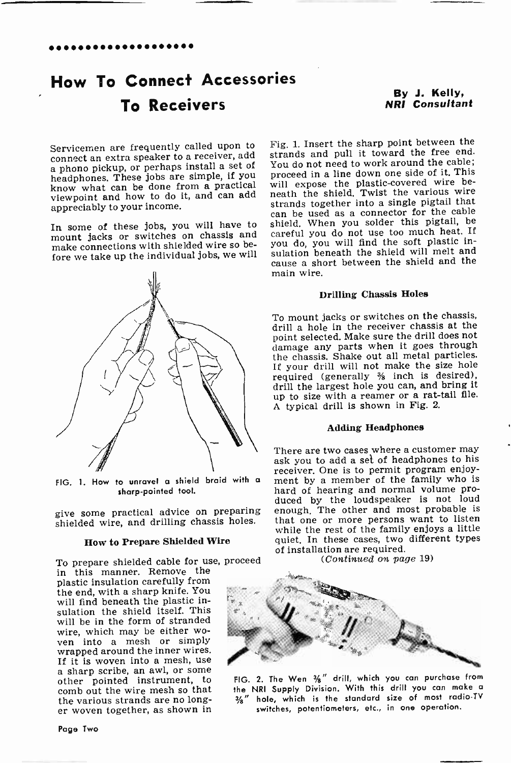# How To Connect Accessories To Receivers

By J. Kelly, NRI Consultant

Servicemen are frequently called upon to a phono pickup, or perhaps install a set of headphones. These jobs are simple, if you know what can be done from a practical viewpoint and how to do it, and can add neath the shield. Twist the various wire<br>example in the strands together into a single pigtail that appreciably to your income.

In some of these jobs, you will have to mount jacks or switches on chassis and make connections with shielded wire so be-



FIG. 1. How to unravel a shield braid with a sharp -pointed tool.

give some practical advice on preparing shielded wire, and drilling chassis holes.

### How to Prepare Shielded Wire

To prepare shielded cable for use, proceed

in this manner. Remove the plastic insulation carefully from the end, with a sharp knife. You will find beneath the plastic insulation the shield itself. This will be in the form of stranded wire, which may be either wo-<br>ven into a mesh or simply wrapped around the inner wires.<br>If it is woven into a mesh, use a sharp scribe, an awl, or some<br>other pointed instrument, to comb out the wire mesh so that the various strands are no longer woven together, as shown in

fore we take up the individual jobs, we will sulation beneath the shield will melt and<br>cause a short between the shield and the Fig. 1. Insert the sharp point between the strands and pull it toward the free end. You do not need to work around the cable; proceed in a line down one side of it. This will expose the plastic-covered wire be-<br>neath the shield. Twist the various wire can be used as a connector for the cable shield. When you solder this pigtail, be careful you do not use too much heat. If you do, you will find the soft plastic insulation beneath the shield will melt and main wire.

### Drilling Chassis Holes

To mount jacks or switches on the chassis, drill a hole in the receiver chassis at the point selected. Make sure the drill does not damage any parts when it goes through the chassis. Shake out all metal particles. If your drill will not make the size hole required (generally % inch is desired), drill the largest hole you can, and bring it up to size with a reamer or a rat-tail file. A typical drill is shown in Fig. 2.

### Adding Headphones

There are two cases where a customer may ask you to add a set of headphones to his receiver. One is to permit program enjoyment by a member of the family who is hard of hearing and normal volume produced by the loudspeaker is not loud enough. The other and most probable is that one or more persons want to listen while the rest of the family enjoys a little quiet. In these cases, two different types of installation are required. (Continued on page 19)



FIG. 2. The Wen 3%" drill, which you can purchase from the NRI Supply Division. With this drill you can make <sup>a</sup> $3/8$ " hole, which is the standard size of most radio-TV switches, potentiometers, etc., in one operation.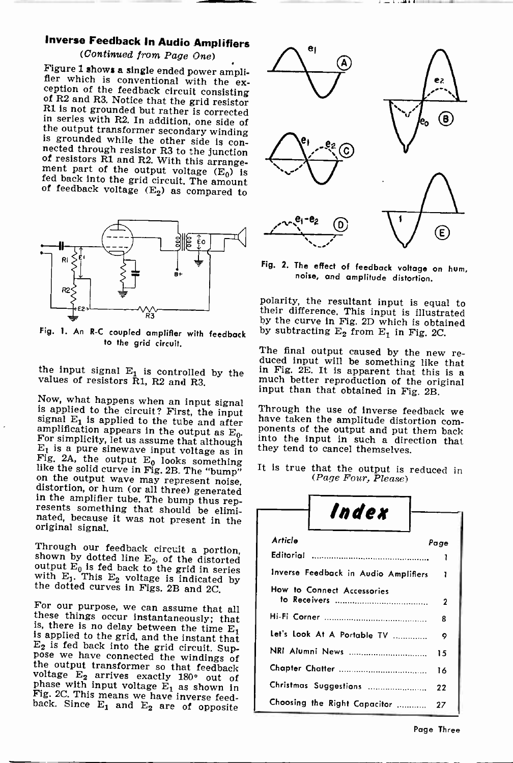# Inverse Feedback In Audio Amplifiers

### (Continued from Page One)

Figure 1 shows a single ended power ampli-<br>fler which is conventional with the exception of the feedback circuit consisting<br>of R2 and R3. Notice that the grid resistor<br>R1 is not grounded but rather is corrected<br>in series



Fig. 1. An R-C coupled amplifier with feedback to the grid circuit.

the input signal  $E_1$  is controlled by the values of resistors R1, R2 and R3.

Now, what happens when an input signal<br>is applied to the circuit? First, the input<br>signal E<sub>1</sub> is applied to the circuit? First, the input<br>amplification appears in the output as E<sub>0</sub>.<br>amplification appears in the output s

Through our feedback circuit a portion, shown by dotted line  $E_2$ , of the distorted output  $E_0$  is fed back to the grid in series with  $E_1$ . This  $E_2$  voltage is indicated by the dotted curves in Figs. 2B and 2C.

For our purpose, we can assume that all<br>these things occur instantaneously; that<br>is, there is no delay between the time  $E_1$ <br>is applied to the grid, and the instant that<br> $E_2$  is fed back into the grid circuit. Sup-<br>pose



Fig. 2. The effect of feedback voltage on hum, noise, and amplitude distortion.

polarity, the resultant input is equal to their difference. This input is illustrated by the curve in Fig. 2D which is obtained by subtracting  $E_2$  from  $E_1$  in Fig. 2C.

The final output caused by the new re- duced input will be something like that in Fig. 2E. It is apparent that this is a much better reproduction of the original input than that obtained in Fig. 2B.

Through the use of inverse feedback we have taken the amplitude distortion components of the output and put them back into the input in such a direction that they tend to cancel themselves.

It is true that the output is reduced in  $(Page Four, Please)$ 

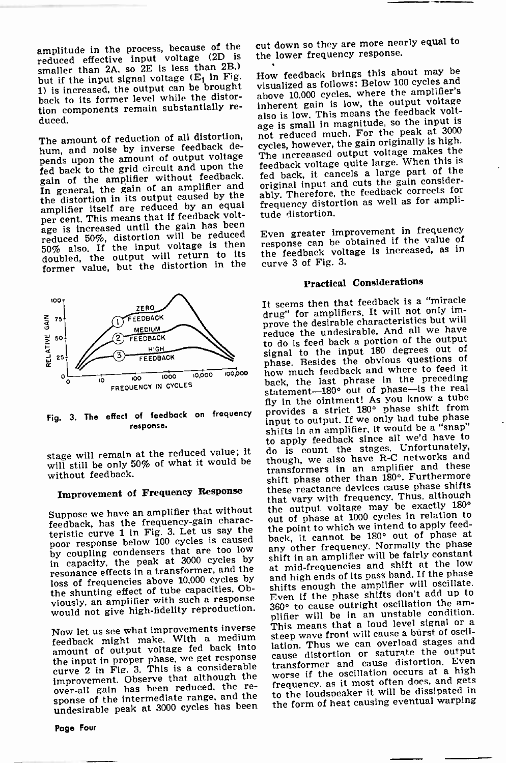amplitude in the process, because of the reduced effective input voltage (2D is smaller than 2A, so 2E is less than 2B,) but if the input signal voltage  $(E_1$  in Fig. 1) is increased, the output can be brought back to its former level while the distortion components remain substantially re- duced.

The amount of reduction of all distortion, hum, and noise by inverse feedback depends upon the amount of output voltage fed back to the grid circuit and upon the gain of the amplifier without feedback. In general, the gain of an amplifier and the distortion in its output caused by the amplifier itself are reduced by an equal per cent. This means that if feedback voltage is increased until the gain has been reduced 50%, distortion will be reduced Every<br>50% also. If the input voltage is then res doubled, the output will return to its the feedback volt former value, but the distortion in the



Fig. 3. The effect of feedback on frequency response.

stage will remain at the reduced value; it will still be only 50% of what it would be without feedback.

## Improvement of Frequency Response

Suppose we have an amplifier that without feedback, has the frequency-gain characteristic curve 1 in Fig. 3. Let us say the poor response below 100 cycles is caused by coupling condensers that are too low<br>in capacity, the peak at 3000 cycles by resonance effects in a transformer, and the loss of frequencies above 10,000 cycles by the shunting effect of tube capacities. Ob-

Now let us see what improvements inverse amount of output voltage fed back into improvement. Observe that although the over-all gain has been reduced. the re- sponse of the intermediate range, and the undesirable peak at 3000 cycles has been

Page Four

cut down so they are more nearly equal to the lower frequency response.

How feedback brings this about may be visualized as follows: Below 100 cycles and above 10,000 cycles, where the amplifier's inherent gain is low, the output voltage also is low. This means the feedback voltage is small in magnitude, so the input is not reduced much. For the peak at <sup>3000</sup> cycles, however, the gain originally is high. The increaased output voltage makes the feedback voltage quite large. When this is fed back, it cancels a large part of the original input and cuts the gain considerably. Therefore, the feedback corrects for frequency distortion as well as for amplitude distortion.

Even greater improvement in frequency response can be obtained if the value of the feedback voltage is increased, as in

### Practical Considerations

viously, an amplifier with such a response Even if the phase shirts will call up to would not give high-fidelity reproduction. 360° to cause outright oscillation the am-<br>plifier will be in an unstable condition.<br>Number of this means that a loud level signal or a feedback might make. With a medium steep wave front will cause a burst of back-<br>amount of output voltage fed back into lation. Thus we can overload stages and<br>distortion or saturate the output curve 2 in Fig. 3. This is a considerable transformer and cause distortion. Even It seems then that feedback is a "miracle drug" for amplifiers. It will not only improve the desirable characteristics but will reduce the undesirable. And all we have to do is feed back a portion of the output signal to the input 180 degrees out of phase. Besides the obvious questions of how much feedback and where to feed it back, the last phrase in the preceding statement -180° out of phase-is the real fly in the ointment! As you know a tube provides a strict 180° phase shift from input to output. If we only had tube phase shifts in an amplifier, it would be a "snap" to apply feedback since all we'd have to do is count the stages. Unfortunately, though, we also have R -C networks and transformers in an amplifier and these shift phase other than 180°. Furthermore these reactance devices cause phase shifts that vary with frequency. Thus, although the output voltage may be exactly 180° out of phase at 1000 cycles in relation to the point to which we intend to apply feedback, it cannot be 180° out of phase at any other frequency. Normally the phase shift in an amplifier will be fairly constant at mid -frequencies and shift at the low and high ends of its pass band. If the phase shifts enough the amplifier will oscillate. Even if the phase shifts don't add up to plifier will be in an unstable condition. steep wave front will cause a burst of oscillation. Thus we can overload stages and transformer and cause distortion. Even frequency, as it most often does, and gets to the loudspeaker it will be dissipated in the form of heat causing eventual warping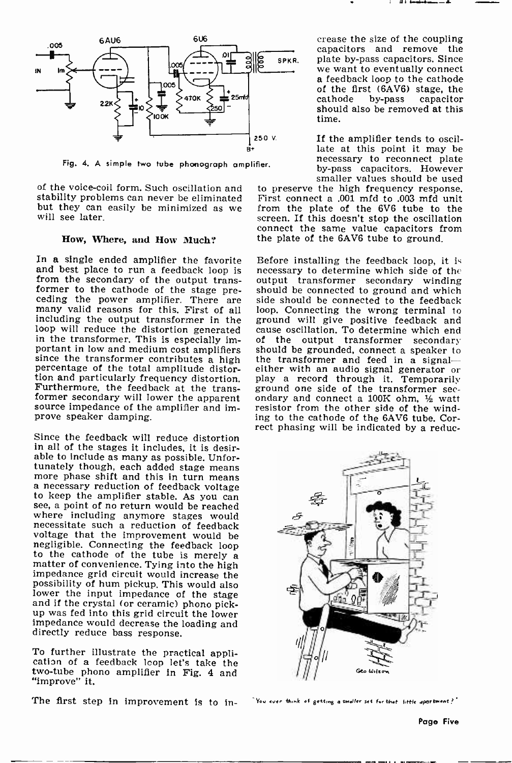

Fig. 4. A simple two tube phonograph amplifier.

stability problems can never be eliminated but they can easily be minimized as we will see later.

### How, Where, and How Much?

In a single ended amplifier the favorite and best place to run a feedback loop is necessary to determine which side of the from the secondary of the output trans- output transformer secondary winding from the secondary of the output trans-<br>former to the cathode of the stage preceding the power amplifier. There are many valid reasons for this. First of all including the output transformer in the ground will give positive feedback and loop will reduce the distortion generated cause oscillation. To determine which end in the transformer. This is especially important in low and medium cost amplifiers since the transformer contributes a high percentage of the total amplitude distortion and particularly frequency distortion. Furthermore, the feedback at the trans-<br>former secondary will lower the apparent source impedance of the amplifier and improve speaker damping.

Since the feedback will reduce distortion in all of the stages it includes, it is desirable to include as many as possible. Unfortunately though, each added stage means more phase shift and this in turn means a necessary reduction of feedback voltage to keep the amplifier stable. As you can see, a point of no return would be reached where including anymore stages would necessitate such a reduction of feedback voltage that the improvement would be negligible. Connecting the feedback loop<br>to the cathode of the tube is merely a<br>matter of convenience. Tying into the high<br>impedance grid circuit would increase the possibility of hum pickup. This would also and if the crystal (or ceramic) phono pickup was fed into this grid circuit the lower impedance would decrease the loading and directly reduce bass response.

To further illustrate the practical appli- cation of a feedback loop let's take the two -tube phono amplifier in Fig. 4 and "improve" it.

The first step in improvement is to in- Now ever think of getting a smaller set for that little apartment?'

crease the size of the coupling capacitors and remove the spkr. plate by-pass capacitors. Since<br>we want to eventually connect<br>a feedback loop to the cathode of the first (6AV6) stage, the<br>cathode by-pass capacitor should also be removed at this time.

> If the amplifier tends to oscillate at this point it may be necessary to reconnect plate by-pass capacitors. However smaller values should be used

of the voice-coil form. Such oscillation and to preserve the high frequency response.<br>stability problems can never be eliminated First connect a .001 mfd to .003 mfd unit to preserve the high frequency response. from the plate of the 6V6 tube to the screen. If this doesn't stop the oscillation connect the same value capacitors from the plate of the 6AV6 tube to ground.

> Before installing the feedback loop, it is necessary to determine which side of the should be connected to ground and which side should be connected to the feedback loop. Connecting the wrong terminal to cause oscillation. To determine which end<br>of the output transformer secondary should be grounded, connect a speaker to<br>the transformer and feed in a signaleither with an audio signal-generator or play a record through it. Temporarily ground one side of the transformer sec-<br>ondary and connect a 100K ohm,  $\frac{1}{2}$  watt resistor from the other side of the winding to the cathode of the 6AV6 tube. Correct phasing will be indicated by a reduc-

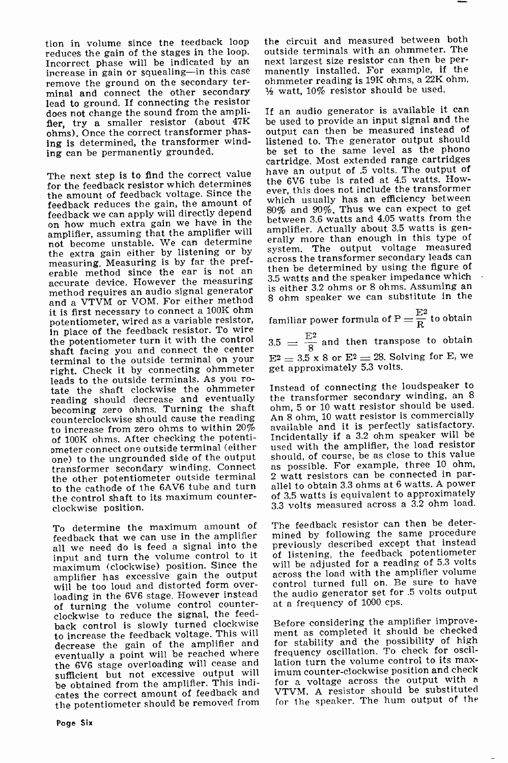tion in volume since the feedback loop reduces the gain of the stages in the loop.<br>Incorrect phase will be indicated by an increase in gain or squealing-in this case remove the ground on the secondary terminal and connect the other secondary lead to ground. If connecting the resistor<br>does not change the sound from the ampli- If an audio generator is available it can does not change the sound from the amplifier, try a smaller resistor (about 47K ohms). Once the correct transformer phasing is determined, the transformer winding can be permanently grounded.

The next step is to find the correct value for the feedback resistor which determines the amount of feedback voltage. Since the feedback reduces the gain, the amount of on how much extra gain we have in the amplifier, assuming that the amplifier will not become unstable. We can determine erally more than enough in this type of the extra gain either by listening or by measuring. Measuring is by far the preferable method since the ear is not an then be determined by using the figure of accurate device. However the measuring 3.5 watts and the speaker impedance which<br>the description on pudio signal generator is either 3.2 ohms or 8 ohms. Assuming an method requires an audio signal generator and a VTVM or VOM. For either method it is first necessary to connect a 100K ohm potentiometer, wired as a variable resistor, in place of the feedback resistor. To wire the potentiometer turn it with the control shaft facing you and connect the center<br>terminal to the outside terminal on your  $E<sup>2</sup>$ right. Check it by connecting ohmmeter get approximately 5.3 volts. leads to the outside terminals. As you ro-<br>tate the shaft clockwise the ohmmeter reading should decrease and eventually becoming zero ohms. Turning the shaft counterclockwise should cause the reading to increase from zero ohms to within  $20\%$ of 100K ohms. After checking the potentiometer connect one outside terminal (either used with the amplifier, the load resistor<br>one) to the ungrounded side of the output should, of course, be as close to this value one) to the ungrounded side of the output transformer secondary winding. Connect the other potentiometer outside terminal to the cathode of the 6AV6 tube and turn the control shaft to its maximum counterclockwise position.

To determine the maximum amount of feedback that we can use in the amplifier all we need do is feed a signal into the input and turn the volume control to it of listening, the feedback potentiometer<br>maximum (clockwise) position. Since the will be adiusted for a reading of 5.3 volts maximum (clockwise) position. Since the amplifier has excessive gain the output will be too loud and distorted form over- loading in the 6V6 stage. However instead of turning the volume control counter-clockwise to reduce the signal, the feedback control is slowly turned clockwise to increase the feedback voltage. This will decrease the gain of the amplifier and eventually a point will be reached where the 6V6 stage overloading will cease and lation turn the volume control to its max-<br>sufficient but not excessive output will imum counter-clockwise position and check sufficient but not excessive output will be obtained from the amplifier. This indicates the correct amount of feedback and VTVM. A resistor should be substituted the potentiometer should be removed from

the circuit and measured between both outside terminals with an ohmmeter. The next largest size resistor can then be permanently installed. For example, if the ohmmeter reading is 19K ohms, a 22K ohm,  $\frac{1}{2}$  watt, 10% resistor should be used.

be used to provide an input signal and the output can then be measured instead of listened to. The generator output should be set to the same level as the phono cartridge. Most extended range cartridges have an output of .5 volts. The output of the 6V6 tube is rated at 4.5 watts. However, this does not include the transformer which usually has an efficiency between 80% and 90%. Thus we can expect to get between 3.6 watts and 4.05 watts from the amplifier. Actually about 3.5 watts is generally more than enough in this type of across the transformer secondary leads can 3.5 watts and the speaker impedance which 8 ohm speaker we can substitute in the

familiar power formula of  $\text{P} = \frac{\text{E} \text{2}}{\text{R}}$  to obtain

 $\frac{3.5}{8} = \frac{E^2}{8}$  and then transpose to obtain  $E^2 = 3.5 \times 8$  or  $E^2 = 28$ . Solving for E, we

Instead of connecting the loudspeaker to the transformer secondary winding, an <sup>8</sup> ohm, 5 or 10 watt resistor should be used. An 8 ohm, 10 watt resistor is commercially available and it is perfectly satisfactory. Incidentally if a 3.2 ohm speaker will be used with the amplifier, the load resistor as possible. For example, three 10 ohm, 2 watt resistors can be connected in parallel to obtain 3.3 ohms at 6 watts. A power of 3.5 watts is equivalent to approximately 3.3 volts measured across a 3.2 ohm load.

The feedback resistor can then be determined by following the same procedure previously described except that instead of listening, the feedback potentiometer across the load with the amplifier volume control turned full on. Be sure to have the audio generator set for .5 volts output at a frequency of 1000 cps.

Before considering the amplifier improvement as completed it should be checked for stability and the possibility of high frequency oscillation. To check for oscillation turn the volume control to its maxfor a voltage across the output with a for the speaker. The hum output of the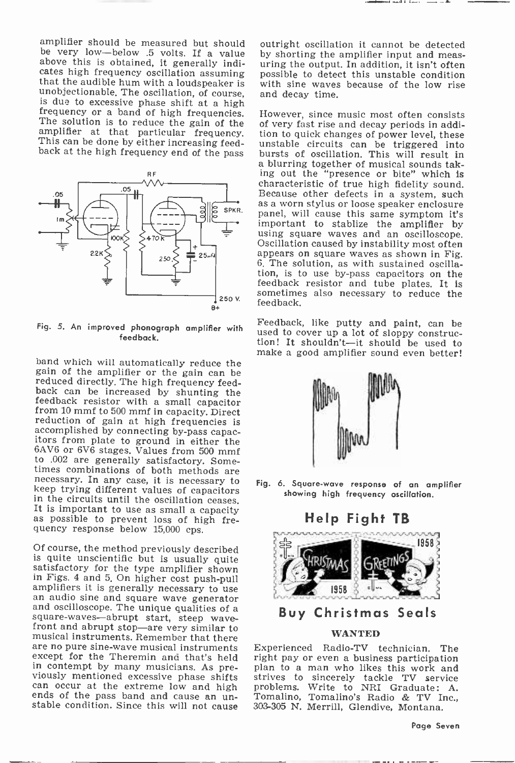amplifier should be measured but should be very low-below .5 volts. If a value above this is obtained, it generally indicates high frequency oscillation assuming that the audible hum with a loudspeaker is<br>unobjectionable. The oscillation, of course,<br>is due to excessive phase shift at a high<br>frequency or a band of high frequencies.<br>The solution is to reduce the gain of the<br>amplifier back at the high frequency end of the pass



Fig. 5. An improved phonograph amplifier with feedback.

band which will automatically reduce the gain of the amplifier or the gain can be reduced directly. The high frequency feed-<br>back can be increased by shunting the feedback resistor with a small capacitor<br>from 10 mmf to 500 mmf in capacity. Direct<br>reduction of gain at high frequencies is<br>accomplished by connecting by-pass capac-<br>itors from plate to ground in either the 6AV6 or 6V6 stages. Values from 500 mmf<br>to .002 are generally satisfactory. Sometimes combinations of both methods are necessary. In any case, it is necessary to keep trying different values of capacitors in the circuits until the oscillation ceases. It is important to use as small a capacity as possible to prevent loss of high frequency response below 15,000 cps.

Of course, the method previously described is quite unscientific but is usually quite satisfactory for the type amplifier shown amplifiers it is generally necessary to use<br>an audio sine and square wave generator<br>and oscilloscope. The unique qualities of a<br>square-waves—abrupt start, steep wave-<br>front and abrupt stop—are very similar to<br>musical inst are no pure sine-wave musical instruments Experienced Radio-TV technician. The except for the Theremin and that's held right pay or even a business participation except for the Theremin and that's held<br>in contempt by many musicians. As previously mentioned excessive phase shifts<br>can occur at the extreme low and high<br>ends of the pass band and cause an un-<br>stable condition. Since this will not cause

outright oscillation it cannot be detected by shorting the amplifier input and meas- uring the output. In addition, it isn't often possible to detect this unstable condition with sine waves because of the low rise and decay time.

However, since music most often consists of very fast rise and decay periods in addition to quick changes of power level, these unstable circuits can be triggered into a blurring together of musical sounds taking out the "presence or bite" which is characteristic of true high fidelity sound.<br>Because other defects in a system, such as a worn stylus or loose speaker enclosure panel, will cause this same symptom it's important to stablize the amplifier by using square waves and an oscilloscope.<br>Oscillation caused by instability most often<br>appears on square waves as shown in Fig. 6. The solution, as with sustained oscillation, is to use by-pass capacitors on the feedback resistor and tube plates. It is sometimes also necessary to reduce the feedback.

Feedback, like putty and paint, can be used to cover up a lot of sloppy construction! It shouldn't-it should be used to make a good amplifier sound even better!



Fig. 6. Square -wave response of an amplifier showing high frequency oscillation.

### Help Fight TB





### WANTED

Experienced Radio-TV technician. The plan to a man who likes this work and strives to sincerely tackle TV service problems. Write to NRI Graduate: A. Tomalino, Tomalino's Radio & TV Inc., 303-305 N. Merrill, Glendive, Montana.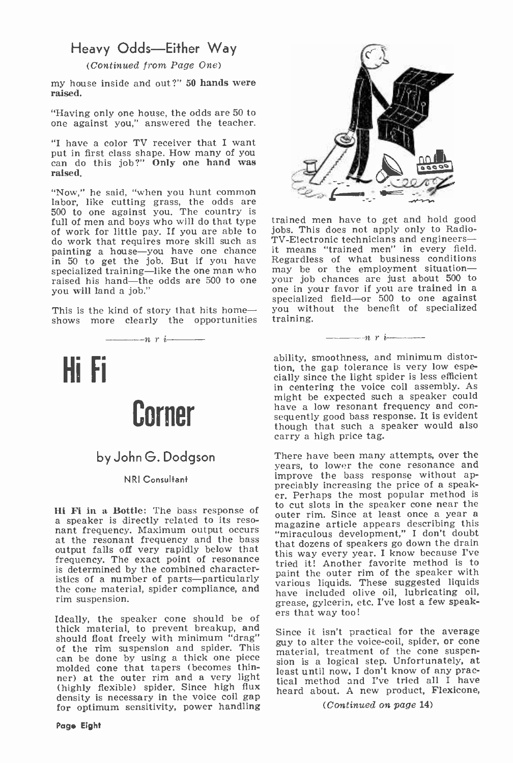# Heavy Odds-Either Way

(Continued from Page One)

my house inside and out?" 50 hands were raised.

"Having only one house, the odds are 50 to one against you," answered the teacher.

"I have a color TV receiver that I want can do this job?" Only one hand was raised.

"Now," he said, "when you hunt common labor, like cutting grass, the odds are 500 to one against you. The country is full of men and boys who will do that type of work for little pay. If you are able to do work that requires more skill such as painting a house-you have one chance in 50 to get the job. But if you have specialized training—like the one man who s may be or the employment situation—<br>raised his hand—the odds are 500 to one syours job chances are just about 500 to raised his hand-the odds are 500 to one you will land a job."

This is the kind of story that hits homeshows more clearly the opportunities



# by John G. Dodgson

NRI Consultant

Hi Fi in a Bottle: The bass response of  $\frac{10 \text{ V}}{200 \text{ rad}}$  a speaker is directly related to its reso-<br>nant frequency. Maximum output occurs at the resonant frequency and the bass<br>output falls off very rapidly below tha frequency. The exact point of resonance  $\frac{dn}{d}$ is determined by the combined characteristics of a number of parts-particularly the cone material, spider compliance, and rim suspension.

Ideally, the speaker cone should be of thick material, to prevent breakup, and should float freely with minimum "drag"  $\frac{1}{2}$  is the procedure to the victor of the ring of the ring of the ring of the ring of the ring of the ring suspension and spider. This  $\frac{1}{2}$  motorial tractment of the cone can be done by using a thick one piece molded cone that tapers (becomes thinner) at the outer rim and a very light (highly flexible) spider. Since high flux density is necessary in the voice coil gap for optimum sensitivity, power handling



trained men have to get and hold good jobs. This does not apply only to Radio-TV -Electronic technicians and engineers- it means "trained men" in every field. Regardless of what business conditions may be or the employment situationone in your favor if you are trained in a specialized field--or 500 to one against you without the benefit of specialized training.

 $r$  *i*  $r$  *i*  $r$  *i*  $r$  *i*  $r$  *i*  $r$  ability, smoothness, and minimum distortion, the gap tolerance is very low especially since the light spider is less efficient in centering the voice coil assembly. As might be expected such a speaker could<br>have a low resonant frequency and consequently good bass response. It is evident though that such a speaker would also carry a high price tag.

There have been many attempts, over the years, to lower the cone resonance and improve the bass response without appreciably increasing the price of a speak-<br>er. Perhaps the most popular method is to cut slots in the speaker cone near the outer rim. Since at least once a year a magazine article appears describing this "miraculous development," I don't doubt that dozens of speakers go down the drain this way every year. I know because I've tried it! Another favorite method is to paint the outer rim of the speaker with various liquids. These suggested liquids have included olive oil, lubricating oil, grease, gylcerin, etc. I've lost a few speak-

Since it isn't practical for the average guy to alter the voice -coil, spider, or cone material, treatment of the cone suspen-sion is a logical step. Unfortunately, at least until now, I don't know of any practical method and I've tried all I have heard about. A new product, Flexicone,

(Continued on page 14)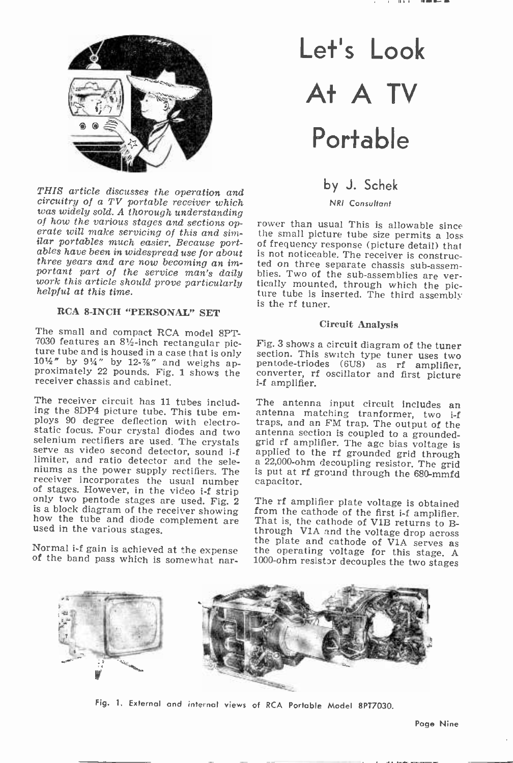

THIS article discusses the operation and circuitry of a TV portable receiver which<br>was widely sold. A thorough understanding of how the various stages and sections operate will make servicing of this and similar portables much easier. Because port-<br>ilar portables much easier. Because port-<br>ables have been in widespread use for about<br>three years work this article should prove particularly helpful at this time.

### RCA 8-INCH "PERSONAL" SET

The small and compact RCA model 8PT-<br>7030 features an 8½-inch rectangular picture tube and is housed in a case that is only  $10\frac{1}{2}$ " by  $9\frac{1}{4}$ " by 12- $\frac{7}{8}$ " and weighs approximately 22 pounds. Fig. 1 shows the receiver chassis and cabinet.

The receiver circuit has 11 tubes includ-<br>ing the 8DP4 picture tube. This tube em-<br>antenna matching tranformer, two i-f<br>ploys 90 degree deflection with electro-<br>traps, and an FM trap. The output of the<br>static focus. Four c serve as video second detector, sound i-f<br>limiter, and ratio detector and the sele-<br>niums as the power supply rectifiers. The<br>receiver incorporates the usual number<br>of stages. However, in the video i-f strip<br>only two pento

Normal i-f gain is achieved at the expense<br>of the band pass which is somewhat nar-

# Let's Look At A TV Portable

# by J. Schek

NRI Consultant

rower than usual This is allowable since the small picture tube size permits a loss of frequency response (picture detail) that is not noticeable. The receiver is construc-<br>ted on three separate chassis sub-assemblies. Two of the sub-assemblies are ver-<br>tically mounted, through which the pic-<br>ture tube is inserted. The third assembly is the rf tuner.

### Circuit Analysis

Fig. 3 shows a circuit diagram of the tuner pentode-triodes (6U8) as rf amplifier, converter, rf oscillator and first picture i-f amplifier.

The antenna input circuit includes an antenna section is coupled to a grounded-<br>grid rf amplifier. The age bias voltage is<br>applied to the rf grounded grid through<br>a 22,000-ohm decoupling resistor. The grid is put at rf ground through the 680-mmfd capacitor.

The rf amplifier plate voltage is obtained<br>from the cathode of the first i-f amplifier.<br>That is, the cathode of V1B returns to B-<br>through V1A and the voltage drop across<br>the plate and cathode of V1A serves as<br>the plate and



Fig. 1. External and internal views of RCA Portable Model 8PT7030.

Page Nine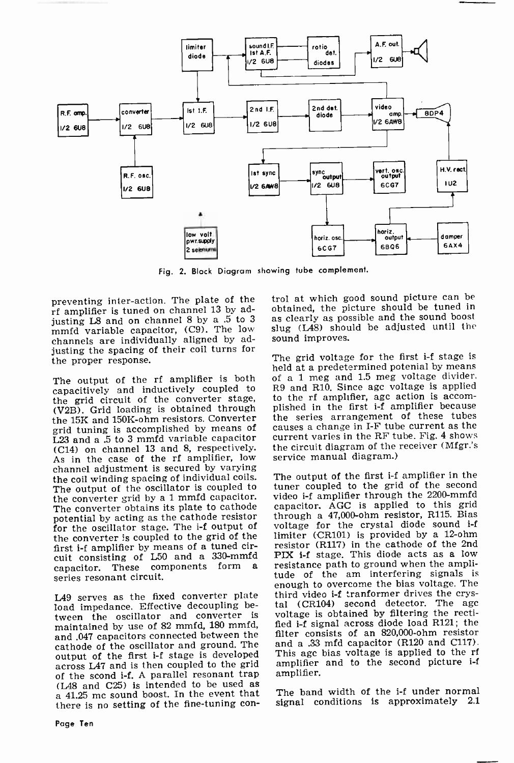

Fig. 2. Block Diagram showing tube complement.

preventing inter -action. The plate of the rf amplifier is tuned on channel 13 by adjusting L8 and on channel 8 by a .5 to 3 as clearly as possible and the sound boost mmfd variable capacitor, (C9). The low channels are individually aligned by adjusting the spacing of their coil turns for the proper response.

The output of the rf amplifier is both capacitively and inductively coupled to R9 and R10. Since age voltage is applied<br>the grid circuit of the converter stage, to the rf amplifier, age action is accomthe grid circuit of the converter stage, (V2B). Grid loading is obtained through the 15K and 150K-ohm resistors. Converter grid tuning is accomplished by means of L23 and a .5 to 3 mmfd variable capacitor (C14) on channel 13 and 8, respectively. As in the case of the rf amplifier, low channel adjustment is secured by varying the coil winding spacing of individual coils. The output of the oscillator is coupled to the converter grid by a 1 mmfd capacitor. The converter obtains its plate to cathode potential by acting as the cathode resistor for the oscillator stage. The i-f output of the converter is coupled to the grid of the first i-f amplifier by means of a tuned circuit consisting of L50 and a 330-mmfd capacitor. These components form a series resonant circuit.

L49 serves as the fixed converter plate load impedance. Effective decoupling between the oscillator and converter is maintained by use of 82 mmfd, 180 mmfd, and .047 capacitors connected between the cathode of the oscillator and ground. The output of the first i-f stage is developed across L47 and is then coupled to the grid of the scond i-f. A parallel resonant trap (L48 and C25) is intended to be used as a 41.25 me sound boost. In the event that there is no setting of the fine-tuning control at which good sound picture can be obtained, the picture should be tuned in slug (L48) should be adjusted until the sound improves.

The grid voltage for the first i-f stage is<br>held at a predetermined potenial by means of a 1 meg and 1.5 meg voltage divider. R9 and R10. Since agc voltage is applied plished in the first i-f amplifier because the series arrangement of these tubes causes a change in I-F tube current as the current varies in the RF tube. Fig. 4 shows the circuit diagram of the receiver (Mfgr.'s service manual diagram.)

The output of the first i-f amplifier in the tuner coupled to the grid of the second video i-f amplifier through the 2200-mmfd capacitor. AGC is applied to this grid through a 47,000-ohm resistor, R115. Bias voltage for the crystal diode sound i-f limiter (CR101) is provided by a 12-ohm resistor (R117) in the cathode of the 2nd<br>PIX i-f stage. This diode acts as a low resistance path to ground when the amplitude of the am interfering signals is enough to overcome the bias voltage. The third video i-f tranformer drives the crystal (CR104) second detector. The age voltage is obtained by filtering the rectified i-f signal across diode load R121; the filter consists of an 820,000 -ohm resistor and a .33 mfd capacitor (R120 and C117). This agc bias voltage is applied to the rf amplifier and to the second picture i-f amplifier.

The band width of the i-f under normal signal conditions is approximately 2.1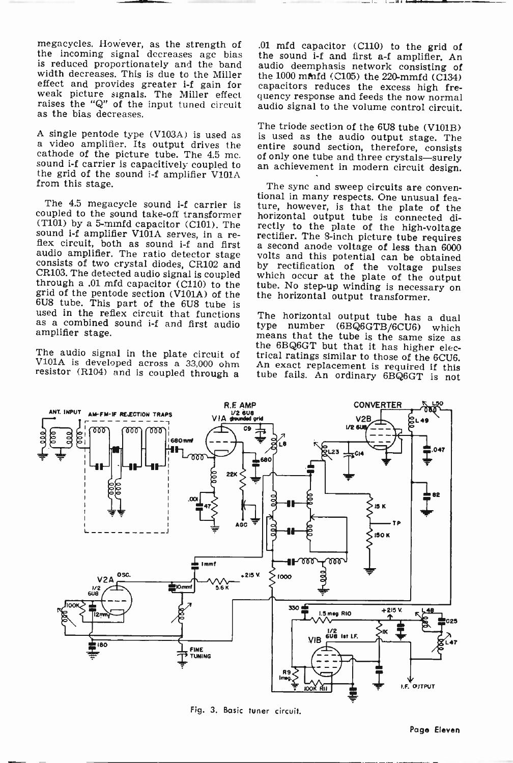megacycles. However, as the strength of the incoming signal decreases age bias is reduced proportionately and the band audio deemphasis network consisting of width decreases. This is due to the Miller the 1000 mind (C105) the 220-mmfd (C134) width decreases. This is due to the Miller effect and provides greater i-f gain for weak picture signals. The Miller effect raises the "Q" of the input tuned circuit as the bias decreases.

sound i-f carrier is capacitively coupled to an achievement in modern circuit design. the grid of the sound  $if$  amplifier  $V101A$ from this stage.

coupled to the sound take-off transformer (T101) by a 5-mmfd capacitor (C101). The rectly to the plate of the high-voltage sound i-f amplifier V101A serves, in a resound i-f amplifier V101A serves, in a re-<br>flex circuit, both as sound i-f and first a second anode voltage of less than 6000<br>audio amplifier. The ratio detector stage volts and this notential can be obtained audio amplifier. The ratio detector stage volts and this potential can be obtained<br>consists of two crystal diodes, CR102 and by rectification of the voltage pulses<br>CR103. The detected audio signal is coupled which occur at through a .01 mfd capacitor (C110) to the tube. No step-up winding is necessary on grid of the pentode section (V101A) of the the horizontal output transformer. 6U8 tube. This part of the 6U8 tube is used in the reflex circuit that functions as a combined sound i -f and first audio amplifier stage.

.01 mfd capacitor (C110) to the grid of the sound i-f and first a-f amplifier. An audio deemphasis network consisting of capacitors reduces the excess high frequency response and feeds the now normal audio signal to the volume control circuit.

A single pentode type  $(V103A)$  is used as The triode section of the 6U8 tube  $(V101B)$ <br>a video amplifier. Its output drives the section is used as the audio output stage. The<br>cathode of the picture tube. The 4.5 mc. of onl is used as the audio output stage. The entire sound section, therefore, consists of only one tube and three crystals-surely

The 4.5 megacycle sound i-f carrier is ture, however, is that the plate of the upled to the sound take-off transformer horizontal output tube is connected di-The sync and sweep circuits are conventional in many respects. One unusual fearectly to the plate of the high-voltage which occur at the plate of the output

The audio signal in the plate circuit of trical ratings similar to those of the 6CU6.<br>V101A is developed across a 33,000 ohm An exact replacement is required if this resistor (R104) and is coupled through a tube fails. An The horizontal output tube has a dual type number (6BQ6GTB/6CU6) which means that the tube is the same size as



Fig. 3. Basic tuner circuit.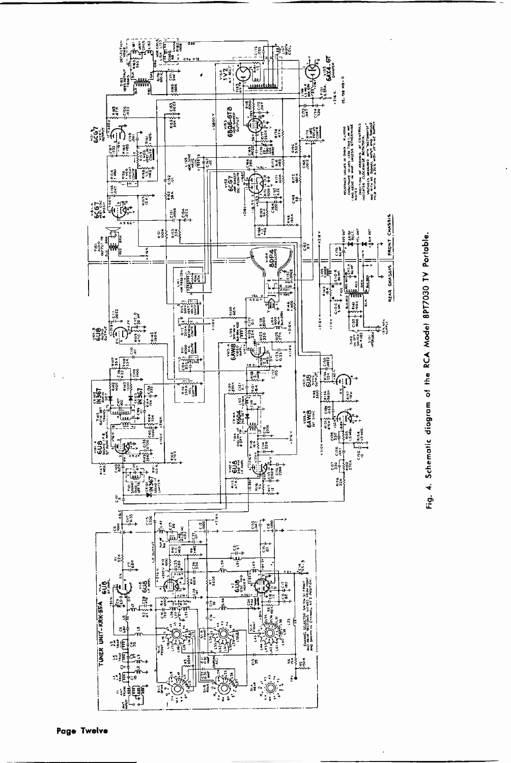

Fig. 4. Schematic diagram of the RCA Model 8PT7030 TV Portable.

K)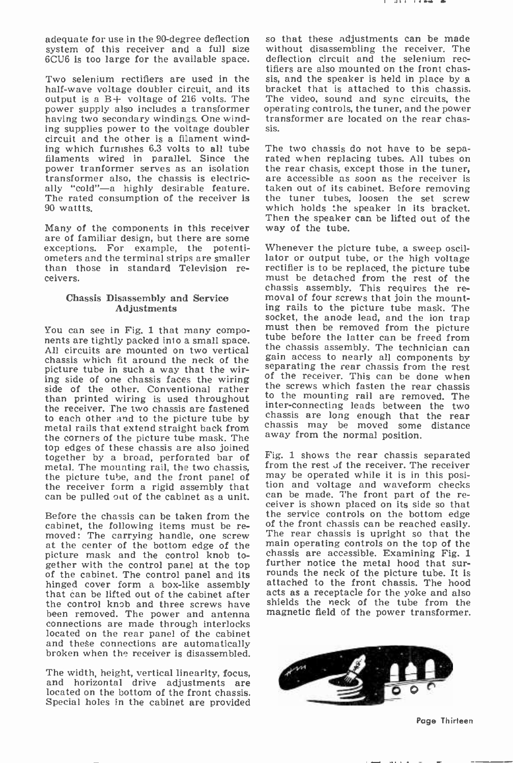adequate for use in the 90-degree deflection system of this receiver and a full size

Two selenium rectifiers are used in the sis, and the speaker is held in place by a half-wave voltage doubler circuit, and its output is a  $B+$  voltage of 216 volts. The power supply also includes a transformer operating controls, the tuner, and the power having two secondary windings. One wind- transformer are located on the rear chashaving two secondary windings. One winding supplies power to the voltage doubler circuit and the other is a filament winding which furnishes 6.3 volts to all tube The two chassis do not have to be sepa-<br>filaments wired in parallel. Since the rated when replacing tubes. All tubes on filaments wired in parallel. Since the rated when replacing tubes. All tubes on power tranformer serves as an isolation the rear chasis, except those in the tuner, power tranformer serves as an isolation transformer also, the chassis is electrically "cold"—a highly desirable feature. taken out of its cabinet. Before removing<br>The rated consumption of the receiver is the tuner tubes, loosen the set screw The rated consumption of the receiver is 90 wattts.

Many of the components in this receiver<br>are of familiar design, but there are some exceptions. For example, the potentiometers and the terminal strips are smaller lator or output tube, or the high voltage than those in standard Television re-<br>rectifier is to be replaced, the picture tube than those in standard Television re- ceivers.

### Chassis Disassembly and Service Adjustments

You can see in Fig. 1 that many components are tightly packed into a small space. Tube before the latter can be freed from<br>All circuits are mounted on two vertical the chassis assembly. The technician can chassis which fit around the neck of the  $\frac{gain}{s}$  access to nearly all components by picture tube in such a way that the wing separating the rear chassis from the rest picture tube in such a way that the wir-<br>ing side of one chassis faces the wiring side of the other. Conventional rather the screws which fasten the rear chassis<br>than printed wiring is used throughout to the mounting rail are removed. The than printed wiring is used throughout the receiver. The two chassis are fastened to each other and to the picture tube by metal rails that extend straight back from the corners of the picture tube mask. The top edges of these chassis are also joined<br>together by a broad, perforated bar of Fig. 1 shows the rear chassis separated<br>metal The mounting rail the two chassis - from the rest of the receiver. The receiver metal. The mounting rail, the two chassis, from the rest of the receiver. The receiver<br>the picture tube, and the front panel of may be operated while it is in this posi-<br>the receiver form a rigid assembly that tion and vol

cabinet, the following items must be re-<br>moved: The carrying handle, one screw<br>at the center of the bottom edge of the picture mask and the control knob toof the cabinet. The control panel and its<br>hinged cover form a box-like assembly that can be lifted out of the cabinet after the control knob and three screws have been removed. The power and antenna connections are made through interlocks located on the rear panel of the cabinet and these connections are automatically broken when the receiver is disassembled.

The width, height, vertical linearity, focus, and horizontal drive adjustments are located on the bottom of the front chassis. Special holes in the cabinet are provided

6CU6 is too large for the available space. deflection circuit and the selenium rec-<br>tifiers are also mounted on the front chasso that these adjustments can be made without disassembling the receiver. The deflection circuit and the selenium recbracket that is attached to this chassis. The video. sound and sync circuits, the operating controls, the tuner, and the power sis.

> The two chassis do not have to be sepaare accessible as soon as the receiver is which holds the speaker in its bracket. Then the speaker can be lifted out of the way of the tube.

> Whenever the picture tube, a sweep oscillator or output tube, or the high voltage must be detached from the rest of the chassis assembly. This requires the re- moval of four screws that join the mounting rails to the picture tube mask. The must then be removed from the picture the chassis assembly. The technician can gain access to nearly all components by of the receiver. This can be done when the screws which fasten the rear chassis inter-connecting leads between the two chassis are long enough that the rear chassis may be moved some distance away from the normal position.

the recent form a rigid and the recent be pulled out of the cabinet as a unit. Can be made. The front part of the re-Before the chassis can be taken from the the service controls on the bottom edge capinet the following items must be re-<br>capinet the following items must be re-Fig. 1 shows the rear chassis separated. tion and voltage and waveform checks The rear chassis is upright so that the main operating controls on the top of the chassis are accessible. Examining Fig. i further notice the metal hood that surrounds the neck of the picture tube. It is attached to the front chassis. The hood acts as a receptacle for the yoke and also shields the neck of the tube from the magnetic field of the power transformer.



Page Thirteen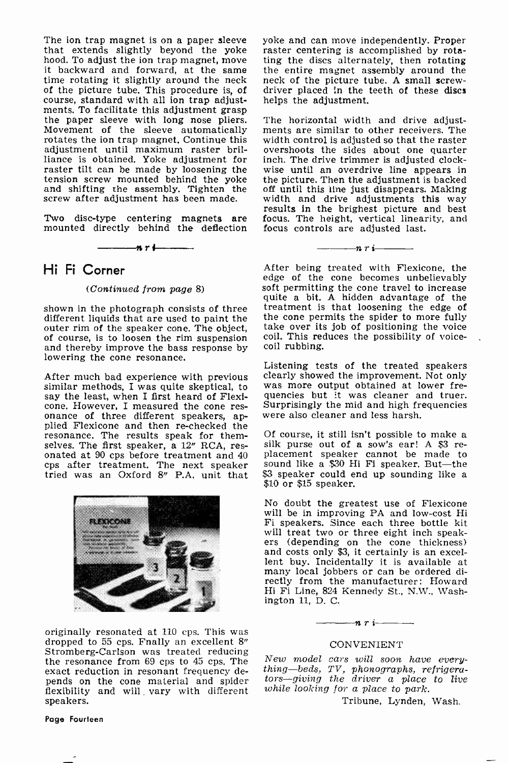The ion trap magnet is on a paper sleeve yoke and can move independently. Proper that extends slightly beyond the yoke raster centering is accomplished by rotahood. To adjust the ion trap magnet, move ing the discs alternately, then rotating it backward and forward, at the same the entire magnet assembly around the time rotating it slightly around the neck neck of the picture tu of the picture tube. This procedure is, of course, standard with all ion trap adjustments. To facilitate this adjustment grasp the paper sleeve with long nose pliers. Movement of the sleeve automatically rotates the ion trap magnet. Continue this adjustment until maximum raster brilliance is obtained. Yoke adjustment for raster tilt can be made by loosening the<br>tension screw mounted behind the yoke

Two disc-type centering magnets are focus<br>mounted directly behind the deflection focus

#### nri

### Hi Fi Corner

### (Continued from page 8)

shown in the photograph consists of three treatment is that loosening the edge of different liquids that are used to paint the the cone permits the spider to more fully different liquids that are used to paint the outer rim of the speaker cone. The object, of course, is to loosen the rim suspension and thereby improve the bass response by lowering the cone resonance.

After much bad experience with previous clearly showed the improvement. Not only similar methods, I was quite skeptical, to was more output obtained at lower fresay the least, when I first heard of Flexi-quencies but it wa cone. However, I measured the cone res-<br>onance of three different speakers, ap-<br>plied Flexicone and then re-checked the<br>resonance. The results speak for them-<br>selves. The first speaker, a  $12<sup>n</sup>$  RCA, resselves. The first speaker, a  $12^{\prime\prime}$  RCA, res-<br>onated at 90 cps before treatment and  $40$  placement speaker cannot be made to cps after treatment. The next speaker sound like a \$30 H tried was an Oxford 8" P.A. unit that  $$3$  speaker could e \$10 or \$15 speaker.



originally resonated at 110 cps. This was dropped to 55 cps. Fnally an excellent 8" Stromberg-Carlson was treated reducing<br>the resonance from 69 cps to 45 cps. The  $New \ model$  cars will soon have everyexact reduction in resonant frequency depends on the cone material and spider tors—giving the driver a place to live flexibility and will vary with different speakers.

### Page Fourteen

raster centering is accomplished by rotathe entire magnet assembly around the driver placed in the teeth of these discs helps the adjustment.

and shifting the assembly. Tighten the off until this line just disappears. Making screw after adjustment has been made. width and drive adjustments this way results in the brightest picture and best The horizontal width and drive adjustments are similar to other receivers. The width control is adjusted so that the raster overshoots the sides about one quarter inch. The drive trimmer is adjusted clockwise until an overdrive line appears in the picture. Then the adjustment is backed width and drive adjustments this way focus. The height, vertical linearity, and focus controls are adjusted last.

> After being treated with Flexicone, the<br>edge of the cone becomes unbelievably soft permitting the cone travel to increase quite a bit. A hidden advantage of the treatment is that loosening the edge of take over its job of positioning the voice coil. This reduces the possibility of voice-<br>coil rubbing.

 $-\cdots$ nri $\cdots$ 

Listening tests of the treated speakers clearly showed the improvement. Not only was more output obtained at lower frequencies but it was cleaner and truer. Surprisingly the mid and high frequencies were also cleaner and less harsh.

Of course, it still isn't possible to make a silk purse out of a sow's ear! A \$3 re- placement speaker cannot be made to sound like a \$30 Hi Fi speaker. But-the \$3 speaker could end up sounding like a

No doubt the greatest use of Flexicone will be in improving PA and low-cost Hi Fi speakers. Since each three bottle kit will treat two or three eight inch speak-<br>ers (depending on the cone thickness)<br>and costs only \$3, it certainly is an excellent buy. Incidentally it is available at many local jobbers or can be ordered directly from the manufacturer: Howard Hi Fi Line, 824 Kennedy St., N.W., Washington 11, D. C.

#### $-n r -$

### CONVENIENT

thing-beds, TV, phonographs, refrigerawhile looking for a place to park.

Tribune, Lynden, Wash.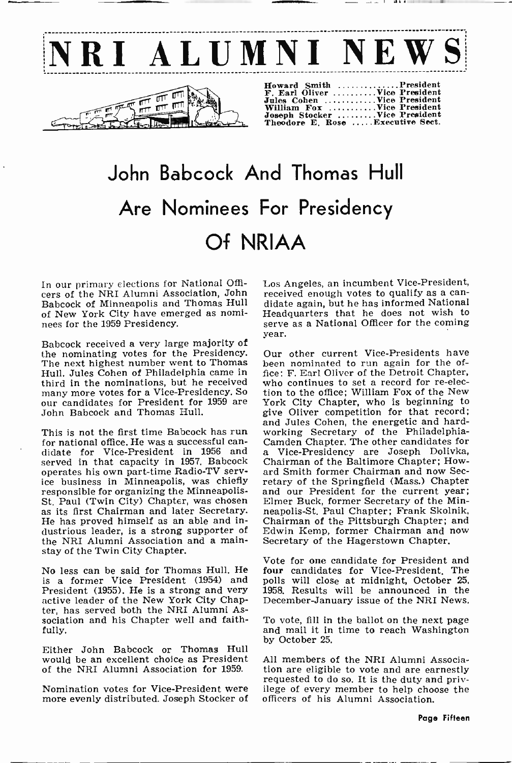

# John Babcock And Thomas Hull Are Nominees For Presidency Of NRIAA

Babcock of Minneapolis and Thomas Hull of New York City have emerged as nomi- nees for the 1959 Presidency.

Babcock received a very large majority of the nominating votes for the Presidency. The next highest number went to Thomas Hull. Jules Cohen of Philadelphia came in third in the nominations, but he received<br>many more votes for a Vice-Presidency. So many more votes for a Vice-Presidency. So tion<br>our candidates for President for 1959 are Yo John Babcock and Thomas Hull.

This is not the first time Babcock has run<br>for national office. He was a successful candidate for Vice-President in 1956 and a Vice-Presidency are Joseph Dolivka, served in that capacity in 1957. Babcock operates his own part-time Radio-TV service business in Minneapolis, was chiefly retary of the Springfield (Mass.) Chapter responsible for organizing the Minneapolis- and our President for the current year; St. Paul (Twin City) Chapter, was chosen as its first Chairman and later Secretary. He has proved himself as an able and industrious leader, is a strong supporter of Edwin Kemp, former Chairman and ithe NRI Alumni Association and a main-<br>Secretary of the Hagerstown Chapter. the NRI Alumni Association and a mainstay of the Twin City Chapter.

No less can be said for Thomas Hull. He is a former Vice President (1954) and President (1955). He is a strong and very active leader of the New York City Chapter, has served both the NRI Alumni Association and his Chapter well and faithfully.

Either John Babcock or Thomas Hull would be an excellent choice as President

In our primary elections for National Offi- Los Angeles, an incumbent Vice-President, cers of the NRI Alumni Association, John received enough votes to qualify as a can-Los Angeles, an incumbent Vice -President, didate again, but he has informed National Headquarters that he does not wish to serve as a National Officer for the coming year.

> Our other current Vice -Presidents have been nominated to run again for the office: F. Earl Oliver of the Detroit Chapter, who continues to set a record for re-elec-tion to the office; William Fox of the New York City Chapter, who is beginning to give Oliver competition for that record; and Jules Cohen, the energetic and hardworking Secretary of the Philadelphia-<br>Camden Chapter. The other candidates for Chairman of the Baltimore Chapter; Howard Smith former Chairman and now Sec-Elmer Buck, former Secretary of the Minneapolis -St. Paul Chapter; Frank Skolnik, Chairman of the Pittsburgh Chapter; and Edwin Kemp, former Chairman and now

> Vote for one candidate for President and four candidates for Vice-President. The polls will close at midnight, October 25, 1958. Results will be announced in the December -January issue of the NRI News.

To vote, fill in the ballot on the next page and mail it in time to reach Washington by October 25.

of the NRI Alumni Association for 1959. Nomination votes for Vice-President were ilege of every member to help choose the more evenly distributed. Joseph Stocker of officers of his Alumni Association. All members of the NRI Alumni Association are eligible to vote and are earnestly officers of his Alumni Association.

Pape Fifteen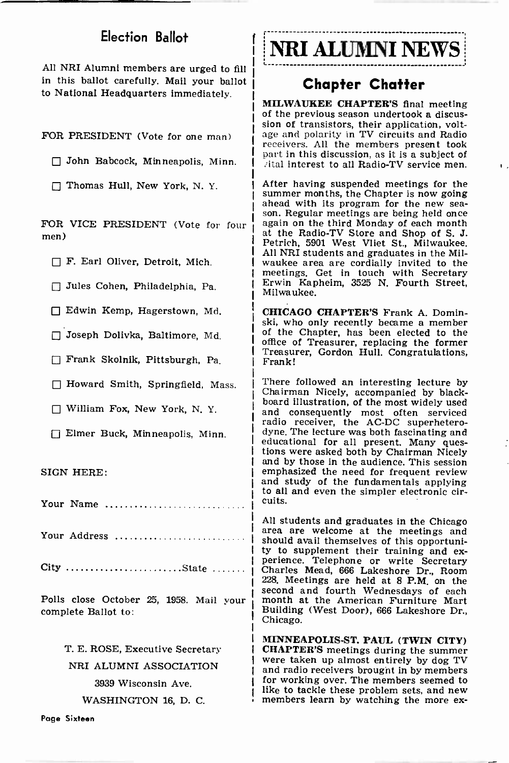# Election Ballot

All NRI Alumni members are urged to fill in this ballot carefully. Mail your ballot to National Headquarters immediately

FOR PRESIDENT (Vote for one man)

- John Babcock, Minneapolis, Minn.
- Thomas Hull, New York, N.Y.

FOR VICE PRESIDENT (Vote for four men)

 $\Box$  F. Earl Oliver, Detroit, Mich.

Jules Cohen, Philadelphia, Pa.

Edwin Kemp, Hagerstown, Md.

Joseph Dolivka, Baltimore, Md.

Frank Skolnik, Pittsburgh, Pa.

 $\Box$  Howard Smith, Springfield, Mass.

William Fox, New York, N. Y.

Elmer Buck, Minneapolis, Minn.

SIGN HERE:

Your Name

Your Address ..................

City State

Polls close October 25, 1958. Mail your complete Ballot to:

> T. E. ROSE, Executive Secretary NRI ALUMNI ASSOCIATION 3939 Wisconsin Ave.

> > WASHINGTON 16, D. C.

NRI ALUMNI NEWS

# Chapter Chatter

MILWAUKEE CHAPTER'S final meeting of the previous season undertook a discussion of transistors, their application, voltage and polarity in TV circuits and Radio receivers. All the members present took Dart in this discussion, as it is a subject of . ital interest to all Radio-TV service men.

After having suspended meetings for the<br>summer months, the Chapter is now going ahead with its program for the new sea-<br>son. Regular meetings are being held once<br>again on the third Monday of each month at the Radio-TV Store and Shop of S. J. Petrich, 5901 West Vliet St., Milwaukee. All NRI students and graduates in the Milwaukee area are cordially invited to the meetings. Get in touch with Secretary Erwin Kapheim, 3525 N. Fourth Street, Milwaukee.

CHICAGO CHAPTER'S Frank A. Dominski, who only recently became a member of the Chapter, has been elected to the office of Treasurer, replacing the former Treasurer, Gordon Hull. Congratulations, Frank!

There followed an interesting lecture by Chairman Nicely, accompanied by blackboard illustration, of the most widely used and consequently most often serviced<br>radio receiver, the AC-DC superheterodyne. The lecture was both fascinating and educational for all present. Many questions were asked both by Chairman Nicely and by those in the audience. This session emphasized the need for frequent review and study of the fundamentals applying to all and even the simpler electronic circuits.

All students and graduates in the Chicago area are welcome at the meetings and ty to supplement their training and ex-<br>perience. Telephone or write Secretary<br>Charles Mead, 666 Lakeshore Dr., Room 228. Meetings are held at 8 P.M. on the second and fourth Wednesdays of each month at the American Furniture Mart Building (West Door), 666 Lakeshore Dr., Chicago.

MINNEAPOLIS -ST. PAUL (TWIN CITY) CHAPTER'S meetings during the summer were taken up almost entirely by dog TV and radio receivers brougnt in by members for working over. The members seemed to<br>like to tackle these problem sets, and new members learn by watching the more ex-

Page Sixteen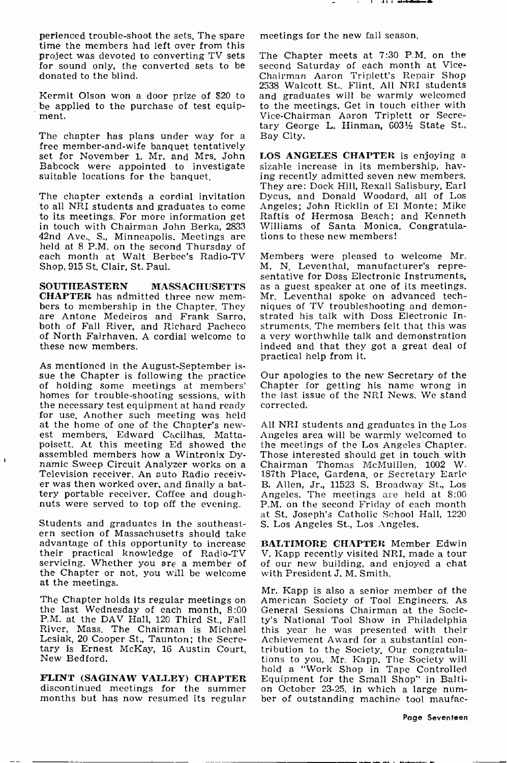perienced trouble-shoot the sets. The spare meetings for the new fall season.<br>time the members had left over from this project was devoted to converting TV sets for sound only, the converted sets to be donated to the blind.

Kermit Olson won a door prize of \$20 to be applied to the purchase of test equipment.

The chapter has plans under way for a Bay City.<br>free member-and-wife banquet tentatively<br>set for November 1, Mr. and Mrs. John LOS ANGELES CHAPTER is enjoying a set for November 1. Mr. and Mrs. John Babcock were appointed to investigate suitable locations for the banquet.

The chapter extends a cordial invitation to all NRI students and graduates to come to its meetings. For more information get in touch with Chairman John Berka, 2833 Williams of Santa Monica<br>42nd Ave., S., Minneapolis. Meetings are tions to these new members! held at 8 P.M. on the second Thursday of each month at Walt Berbee's Radio-TV Shop, 915 St. Clair, St. Paul.

SOUTHEASTERN MASSACHUSETTS **CHAPTER** has admitted three new members to membership in the Chapter. They are Antone Medeiros and Frank Sarro, both of Fall River, and Richard Pacheco struments. The members felt that this was of North Fairhayen. A cordial welcome to a very worthwhile talk and demonstration of North Fairhaven. A cordial welcome to these new members.

As mentioned in the August -September is- sue the Chapter is following the practice of holding some meetings at members' homes for trouble -shooting sessions, with the necessary test equipment at hand ready<br>for use. Another such meeting was held<br>at the home of one of the Chapter's newest members, Edward Cacilhas, Mattapoisett. At this meeting Ed showed the assembled members how a Wintronix Dynamic Sweep Circuit Analyzer works on a<br>Television receiver. An auto Radio receiver was then worked over, and finally a battery portable receiver. Coffee and dough- nuts were served to top off the evening.

f,

Students and graduates in the southeastern section of Massachusetts should take advantage of this opportunity to increase their practical knowledge of Radio-TV servicing. Whether you are a member of the Chapter or not, you will be welcome at the meetings.

The Chapter holds its regular meetings on American Society of Tool Engineers. As<br>the last Wednesday of each month, 8:00 General Sessions Chairman at the Socie-<br>P.M. at the DAV Hall, 120 Third St., Fall ty's National Tool S P.M. at the DAV Hall, 120 Third St., Fall River, Mass. The Chairman is Michael this year he was presented with their Lesiak, 20 Cooper St., Taunton; the Secre- Achievement Award for a substantial con-Lesiak, 20 Cooper St., Taunton; the Secretary is Ernest McKay, 16 Austin Court, tribution to the Society. Our congratula-New Bedford.

months but has now resumed its regular

The Chapter meets at 7:30 P.M. on the second Saturday of each month at Vice-2538 Walcott St., Flint. All NRI students and graduates will be warmly welcomed to the meetings. Get in touch either with Vice -Chairman Aaron Triplett or Secretary George L. Hinman, 603% State St., Bay City.

sizable increase in its membership, having recently admitted seven new members. They are: Dock Hill, Rexall Salisbury, Earl Dycus, and Donald Woodard, all of Los Angeles; John Ricklin of El Monte; Mike Raftis of Hermosa Beach; and Kenneth Williams of Santa Monica. Congratula-

Members were pleased to welcome Mr. sentative for Doss Electronic Instruments, as a guest speaker at one of its meetings. Mr. Leventhal spoke on advanced techniques of TV troubleshooting and demonstrated his talk with Doss Electronic Instruments. The members felt that this was indeed and that they got a great deal of practical help from it.

Our apologies to the new Secretary of the Chapter for getting his name wrong in the last issue of the NRI News. We stand corrected.

All NRI students and graduates in the Los Angeles area will be warmly welcomed to the meetings of the Los Angeles Chapter. Those interested should get in touch with Chairman Thomas McMulllen, 1002 W. 187th Place, Gardena, or Secretary Earle B. Allen, Jr., 11523 S. Broadway St., Los Angeles. The meetings are held at 8:00 P.M. on the second Friday of each month at St. Joseph's Catholic School Hall, 1220 S. Los Angeles St., Los Angeles.

BALTIMORE CHAPTER Member Edwin V. Kapp recently visited NRI, made a tour of our new building, and enjoyed a chat with President J. M. Smith.

FLINT (SAGINAW VALLEY) CHAPTER Equipment for the Small Shop" in Baltidiscontinued meetings for the summer on October 23-25, in which a large num-<br>months but has now resumed its regular ber of outstanding machine tool maufac-Mr. Kapp is also a senior member of the American Society of Tool Engineers. As General Sessions Chairman at the Societhis year he was presented with their Achievement Award for a substantial con-<br>tribution to the Society. Our congratula-<br>tions to you, Mr. Kapp. The Society will hold a "Work Shop in Tape Controlled on October 23-25, in which a large num-

Page Seventeen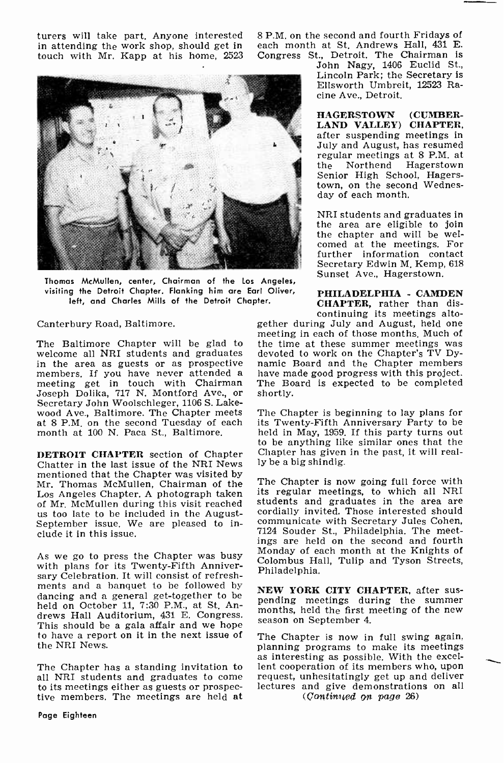turers will take part. Anyone interested in attending the work shop, should get in touch with Mr. Kapp at his home, 2523



Thomas McMullen, center, Chairman of the Los Angeles, visiting the Detroit Chapter. Flanking him are Earl Oliver, left, and Charles Mills of the Detroit Chapter.

Canterbury Road, Baltimore.

welcome all NRI students and graduates<br>in the area as guests or as prospective members. If you have never attended a have made good progress with this project.<br>meeting get in touch with Chairman The Board is expected to be completed<br>Joseph Dolika, 717 N. Montford Ave., or shortly. Joseph Dolika, 717 N. Montford Ave., or Secretary John Woolschleger, 1106 S. Lakewood Ave., Baltimore. The Chapter meets at 8 P.M. on the second Tuesday of each month at 100 N. Paca St., Baltimore.

DETROIT CHAPTER section of Chapter Chatter in the last issue of the NRI News mentioned that the Chapter was visited by Mr. Thomas McMullen, Chairman of the Los Angeles Chapter. A photograph taken of Mr. McMullen during this visit reached us too late to be included in the August-September issue. We are pleased to include it in this issue.

As we go to press the Chapter was busy with plans for its Twenty -Fifth Anniversary Celebration. It will consist of refreshments and a banquet to be followed by dancing and a general get-together to be<br>held an October 11, 7:20  $\sum_{n=1}^{\infty}$  at  $\sum_{n=1}^{\infty}$  and  $\sum_{n=1}^{\infty}$  meetings during the summer held on October 11, 7:30 P.M., at St. Andrews Hall Auditorium, 431 E. Congress. months, neta the first in This should be a gala affair and we hope to have a report on it in the next issue of The Chapter is now in full swing again, the NRI News.

The Chapter has a standing invitation to all NRI students and graduates to come to its meetings either as guests or prospective members. The meetings are held at <sup>8</sup>P.M. on the second and fourth Fridays of each month at St. Andrews Hall, 431 E. Congress St., Detroit. The Chairman is

John Nagy, 1406 Euclid St., Lincoln Park; the Secretary Is Ellsworth Umbrelt, 12523 Racine Ave., Detroit.

HAGERSTOWN (CUMBER-LAND VALLEY) CHAPTER, after suspending meetings in July and August, has resumed regular meetings at 8 P.M. at the Northend Hagerstown Senior High School, Hagerstown, on the second Wednesday of each month.

NRI students and graduates in the area are eligible to join the chapter and will be welcomed at the meetings. For further information contact Secretary Edwin M. Kemp, 618 Sunset Ave., Hagerstown.

PHILADELPHIA - CAMDEN CHAPTER, rather than discontinuing its meetings altogether during July and August, held one

meeting in each of those months. Much of<br>The Baltimore Chapter will be glad to the time at these summer meetings was devoted to work on the Chapter's TV Dynamic Board and the Chapter members The Board is expected to be completed

> The Chapter is beginning to lay plans for its Twenty -Fifth Anniversary Party to be held in May, 1959. If this party turns out to be anything like similar ones that the Chapter has given in the past, it will really be a big shindig.

> The Chapter is now going full force with its regular meetings, to which all NRI students and graduates in the area are cordially invited. Those interested should communicate with Secretary Jules Cohen, 7124 Souder St., Philadelphia. The meetings are held on the second and fourth Monday of each month at the Knights of Colombus Hall, Tulip and Tyson Streets, Philadelphia.

> NEW YORK CITY CHAPTER, after susmonths, held the first meeting of the new

> planning programs to make its meetings<br>as interesting as possible. With the excellent cooperation of its members who, upon request, unhesitatingly get up and deliver lectures and give demonstrations on all  $(Continued$  on page  $26$ )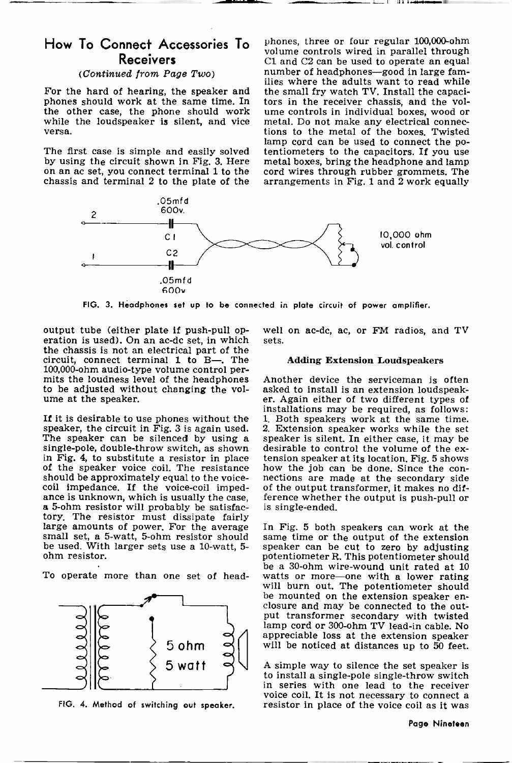# **Receivers**

### (Continued from Page Two)

phones should work at the same time. In tors in the receiver chassis, and the voltable other case, the phone should work ume controls in individual boxes, wood or the other case, the phone should work ume controls in individual boxes, wood or while the loudspeaker is silent, and vice metal. Do not make any electrical connec-

by using the circuit shown in Fig. 3. Here on an ac set, you connect terminal 1 to the chassis and terminal 2 to the plate of the

How To Connect Accessories To phones, three or four regular 100,000-ohm For the hard of hearing, the speaker and the small fry watch TV. Install the capaciphones should work at the same time. In tors in the receiver chassis, and the volwhile the loudspeaker is silent, and vice metal. Do not make any electrical connec-<br>tions to the metal of the boxes. Twisted<br>map cord can be used to connect the po-<br>The first case is simple and easily solved tentiometers t phones, three or four regular 100,000 -ohm C1 and C2 can be used to operate an equal number of headphones-good in large families where the adults want to read while the small fry watch TV. Install the capacitions to the metal of the boxes. Twisted cord wires through rubber grommets. The arrangements in Fig. 1 and 2 work equally



FIG. 3. Headphones set up to be connected in plate circuit of power amplifier.

output tube (either plate if push-pull op- eration is used). On an ac -dc set, in which the chassis is not an electrical part of the circuit, connect terminal 1 to B-. The 100,000-ohm audio-type volume control per-<br>mits the loudness level of the headphones Another device the serviceman is often<br>to be adjusted without changing the vol- asked to install is an extension loudspeakto be adjusted without changing the vol- ume at the speaker.

If it is desirable to use phones without the speaker, the circuit in Fig. 3 is again used. The speaker can be silenced by using a single-pole, double-throw switch, as shown desirable to control the volume of the ex-<br>in Fig. 4, to substitute a resistor in place tension speaker at its location. Fig. 5 shows of the speaker voice coil. The resistance how the job can be done. Since the conshould be approximately equal to the voice- nections are made at the secondary side coil impedance. If the voice-coil impedance is unknown, which is usually the case, a 5-ohm resistor will probably be satisfac**a** 5-ohm resistor will probably be satisfac- is single-ended.<br>tory. The resistor must dissipate fairly<br>large amounts of power. For the average In Fig. 5 both speakers can work at the<br>small set, a 5-watt, 5-ohm resistor sh be used. With larger sets use a 10 -watt, 5 - ohm resistor.



FIG. 4. Method of switching out speaker.

well on ac-dc, ac, or FM radios, and TV sets.

### Adding Extension Loudspeakers

Another device the serviceman is often er. Again either of two different types of installations may be required, as follows: 1. Both speakers work at the same time. 2. Extension speaker works while the set speaker is silent. In either case, it may be desirable to control the volume of the exhow the job can be done. Since the conof the output transformer, it makes no difference whether the output is push-pull or

To operate more than one set of head- watts or more-one with a lower rating In Fig. 5 both speakers can work at the speaker can be cut to zero by adjusting potentiometer R. This potentiometer should be a 30 -ohm wire -wound unit rated at 10 will burn out. The potentiometer should be mounted on the extension speaker en- closure and may be connected to the output transformer secondary with twisted lamp cord or 300-ohm TV lead-in cable. No appreciable loss at the extension speaker will be noticed at distances up to 50 feet.

> A simple way to silence the set speaker is to install a single -pole single -throw switch in series with one lead to the receiver voice coil. It is not necessary to connect a resistor in place of the voice coil as it was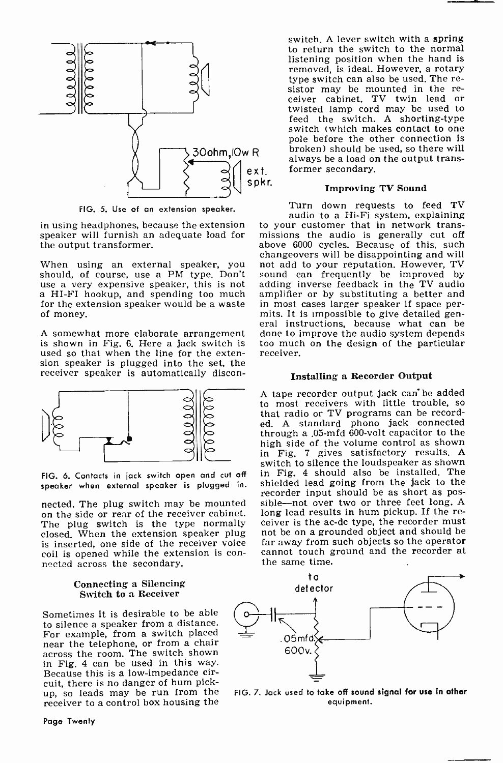

FIG. 5. Use of an extension speaker.

in using headphones, because the extension speaker will furnish an adequate load for the output transformer.

When using an external speaker, you not<br>should, of course, use a PM type. Don't sou<br>use a very expensive speaker, this is not add<br>a HI-FI hookup, and spending too much am for the extension speaker would be a waste in most cases larger speaker if space per-<br>of money. mits. It is impossible to give detailed genof money.

A somewhat more elaborate arrangement is shown in Fig. 6. Here a jack switch is too much used so that when the line for the exten- receiver. used so that when the line for the extension speaker is plugged into the set, the receiver speaker is automatically discon-



FIG. 6. Contacts in jack switch open and cut off speaker when external speaker is plugged in.

The plug switch is the type normally closed. When the extension speaker plug is inserted, one side of the receiver voice coil is opened while the extension is con- nected across the secondary.

### Connecting a Silencing Switch to a Receiver

Sometimes it is desirable to be able to silence a speaker from a distance. For example, from a switch placed across the room. The switch shown in Fig. 4 can be used in this way. Because this is a low -impedance circuit, there is no danger of hum pickup, so leads may be run from the receiver to a control box housing the

Page Twenty

switch. A lever switch with a spring to return the switch to the normal listening position when the hand is removed, is ideal. However, a rotary<br>type switch can also be used. The resistor may be mounted in the re-<br>ceiver cabinet. TV twin lead or<br>twisted lamp cord may be used to feed the switch. A shorting-type<br>switch (which makes contact to one pole before the other connection is broken) should be used, so there will always be a load on the output transformer secondary.

### Improving TV Sound

Turn down requests to feed TV audio to a Hi-Fi system, explaining to your customer that in network transmissions the audio is generally cut off above 6000 cycles. Because of this, such changeovers will be disappointing and will not add to your reputation. However, TV sound can frequently be improved by adding inverse feedback in the TV audio amplifier or by substituting a better and in most cases larger speaker if space per-<br>mits. It is impossible to give detailed gen-<br>eral instructions, because what can be done to improve the audio system depends too much on the design of the particular.

### Installing a Recorder Output

nected. The plug switch may be mounted sible—not over two or three feet long. A<br>on the side or rear of the receiver cabinet. long lead results in hum pickup. If the re-<sup>A</sup>tape recorder output jack can be added to most receivers with little trouble, so that radio or TV programs can be recorded. A standard phono jack connected through a .05-mfd 600 -volt capacitor to the high side of the volume control as shown in Fig. 7 gives satisfactory results. A switch to silence the loudspeaker as shown in Fig. 4 should also be installed. The shielded lead going from the jack to the recorder input should be as short as posceiver is the ac-dc type, the recorder must not be on a grounded object and should be far away from such objects so the operator cannot touch ground and the recorder at the same time.



FIG. 7. Jack used to take off sound signal for use in other equipment.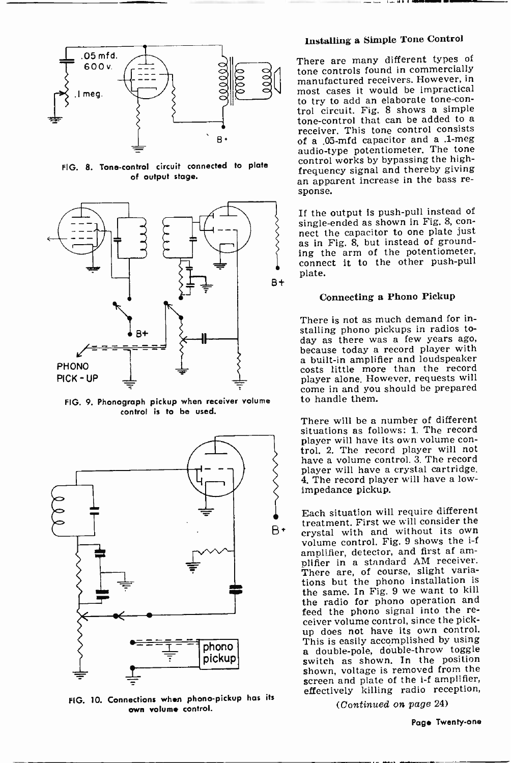

FIG. 8. Tone -control circuit connected to plate of output stage.



FIG. 9. Phonograph pickup when receiver volume control is to be used.



FIG. 10. Connections when phono -pickup has its own volume control.

### Installing a Simple Tone Control

bo 0 O <sup>0</sup> manufactured receivers. However, in \ most cases it would be impractical most cases it would be impractical<br>to try to add an elaborate tone-con-There are many different types of tone controls found in commercially trol circuit. Fig. 8 shows a simple tone -control that can be added to a receiver. This tone control consists of a .05-mfd capacitor and a .1-meg audio-type potentiometer. The tone<br>control works by bypassing the highfrequency signal and thereby giving<br>an apparent increase in the bass re-<br>sponse.

> If the output is push-pull instead of<br>single-ended as shown in Fig. 8, connect the capacitor to one plate just as in Fig. 8, but instead of grounding the arm of the potentiometer, connect it to the other push-pull plate.

### Connecting a Phono Pickup

There is not as much demand for installing phono pickups in radios today as there was a few years ago, because today a record player with a built-in amplifier and loudspeaker costs little more than the record<br>player alone However, requests will come in and you should be prepared to handle them.

There will be a number of different situations as follows: 1. The record<br>player will have its own volume control. 2. The record player will not have a volume control. 3. The record player will have a crystal cartridge. 4. The record player will have a low-<br>impedance pickup.

Each situation will require different treatment. First we will consider the crystal with and without its own volume control. Fig. 9 shows the i -f amplifier, detector, and first af am-<br>plifier in a standard AM receiver. There are, of course, slight variations but the phono installation is the same. In Fig. 9 we want to kill the radio for phono operation and feed the phono signal into the re- ceiver volume control, since the pickup does not have its own control.<br>This is easily accomplished by using a double-pole, double-throw toggle switch as shown. In the position shown, voltage is removed from the screen and plate of the i-f amplifier, effectively killing radio reception,

(Continued on page 24)

Page Twenty-one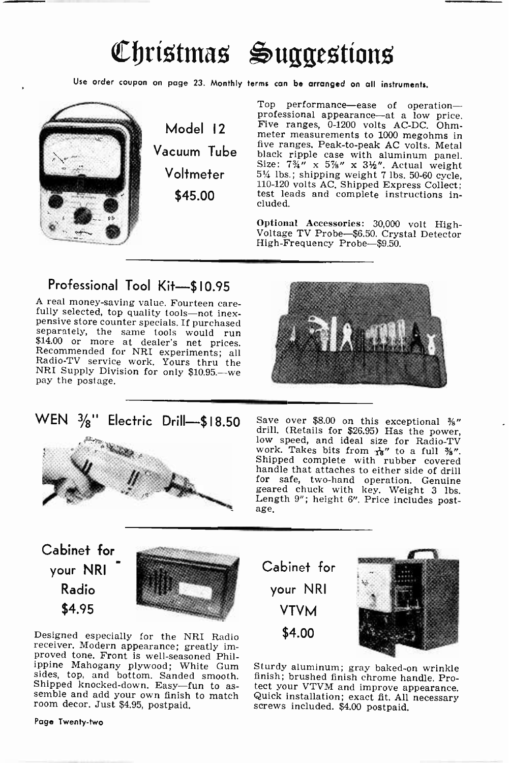# Chrístmas Suggestíons

Use order coupon on page 23. Monthly terms can be arranged on all instruments.



Model 12 Voltmeter \$45.00

Vacuum Tube live ranges, Peak-to-peak AC volts. Metal Top performance—ease of operation—<br>professional appearance—at a low price.<br>Five ranges, 0-1200 volts AC-DC. Ohmmeter measurements to 1000 megohms in five ranges. Peak -to -peak AC volts. Metal Size:  $7\frac{3}{4}$  x  $5\frac{7}{8}$  x  $3\frac{1}{2}$ . Actual weight 51/4 lbs.; shipping weight 7 lbs. 50-60 cycle, 110-120 volts AC. Shipped Express Collect; test leads and complete instructions included.

> Optional Accessories: 30,000 volt High-Voltage TV Probe-\$6.50. Crystal Detector High -Frequency Probe-\$9.50.

# Professional Tool Kit-\$10.95

A real money-saving value. Fourteen care-<br>fully selected, top quality tools—not inex-<br>pensive store counter specials. If purchased<br>separately, the same tools would run \$14.00 or more at dealer's net prices. Recommended for NRI experiments; all Radio-TV service work. Yours thru the NRI Supply Division for only \$10.95.-we NRI Supply Division for only \$10.95.—we<br>pay the postage.

WEN  $\frac{3}{8}$ " Electric Drill-\$18.50



Save over \$8.00 on this exceptional  $\frac{3s}{s}$ " drill. (Retails for \$26.95) Has the power, low speed, and ideal size for Radio-TV work. Takes bits from  $\frac{1}{16}$ " to a full  $\frac{3s}{2}$ ". wow speed, and ideal size for Radio-TV<br>work. Takes bits from  $\frac{1}{6}$ " to a full %".<br>Shipped complete with rubber covered<br>handle that attaches to either side of drill<br>for safe, two-hand operation. Genuine geared chuck with key. Weight 3 lbs. Length 9"; height 6". Price includes post-Length 9"; height 6". Price includes post-<br>age.

Cabinet for your NRI Radio \$4.95



Designed especially for the NRI Radio receiver. Modern appearance; greatly im- proved tone. Front is well -seasoned Phil- ippine Mahogany plywood; White Gum sides, top, and bottom. Sanded smooth. Shipped knocked-down. Easy-fun to as-<br>semble and add your own finish to match<br>room decor. Just \$4.95, postpaid.

Page Twenty-two

Cabinet for your NRI VTVM \$4.00



Sturdy aluminum; gray baked-on wrinkle finish; brushed finish chrome handle. Protect your VTVM and improve appearance. Quick installation; exact fit. All necessary screws included. \$4.00 postpaid.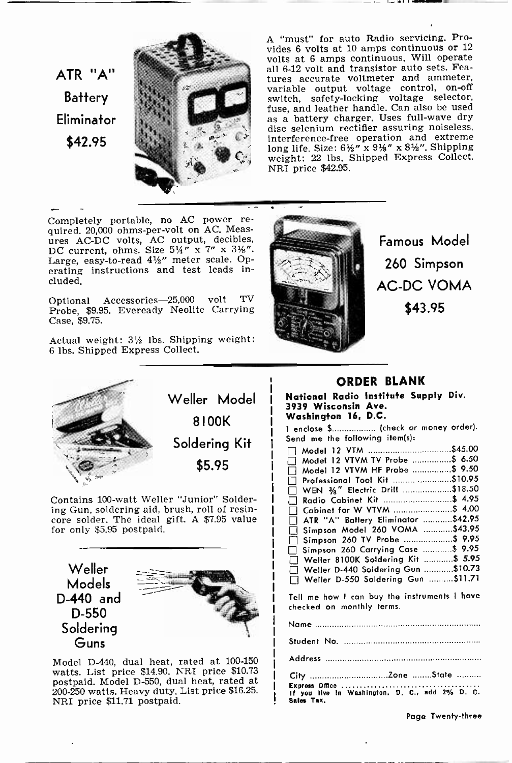ATR "A" **Battery** Eliminator \$42.95



A "must" for auto Radio servicing. Provides 6 volts at 10 amps continuous or <sup>12</sup> volts at 6 amps continuous. Will operate all 6-12 volt and transistor auto sets. Features accurate voltmeter and ammeter, variable output voltage control, on -off switch, safety -locking voltage selector, fuse, and leather handle. Can also be used as a battery charger. Uses full -wave dry as a battery charger. Uses full-wave dry<br>disc selenium rectifier assuring noiseless. interference-free operation and extreme<br>long life. Size:  $6\frac{1}{2}$ " x  $8\frac{1}{2}$ ". Shipping weight: 22 lbs. Shipped Express Collect. NRI price \$42.95.

Completely portable, no AC power re- quired. 20,000 ohms -per -volt on AC. Measures AC -DC volts, AC output, decibles, DC current, ohms. Size  $5\frac{1}{4}$ " x  $7$ " x  $3\frac{1}{8}$ ". Large, easy-to-read  $4\frac{1}{2}$ " meter scale. Operating instructions and test leads included.

Optional Accessories-25,000 volt TV Probe, \$9.95. Eveready Neolite Carrying Case, \$9.75.

Actual weight: 3½ lbs. Shipping weight: <sup>6</sup>lbs. Shipped Express Collect.



Contains 100-watt Weller "Junior" Solder-<br>ing Gun, soldering aid, brush, roll of resincore solder. The ideal gift. A \$7.95 value for only \$5.95 postpaid.

Weller Models D-440 and D-550 Soldering Guns



Model D-440, dual heat, rated at 100-150 watts. List price \$14.90. NRI price \$10.73 postpaid. Model D-550, dual heat, rated at 200-250 watts. Heavy duty. List price \$16.25. NRI price \$11.71 postpaid.



Famous Model 260 Simpson AC -DC VOMA \$43.95

### ORDER BLANK

National Radio Institute Supply Div. 3939 Wisconsin Ave. Washington 16, D.C.

I enclose \$................. (check or money order). Send me the following item(s):

|    | Model 12 VTM \$45.00               |  |
|----|------------------------------------|--|
|    | Model 12 VTVM TV Probe \$ 6.50     |  |
| Ιł | Model 12 VTVM HF Probe  \$ 9.50    |  |
|    | Professional Tool Kit \$10.95      |  |
| П  | WEN 3/8" Electric Drill \$18.50    |  |
|    | Radio Cabinet Kit  \$ 4.95         |  |
|    | □ Cabinet for W VTVM \$ 4.00       |  |
|    | ATR "A" Battery Eliminator \$42.95 |  |
|    | Simpson Model 260 VOMA \$43.95     |  |
|    | Simpson 260 TV Probe \$ 9.95       |  |
|    | Simpson 260 Carrying Case  \$9.95  |  |
|    | Weller 8100K Soldering Kit  \$5.95 |  |
|    | Weller D-440 Soldering Gun \$10.73 |  |
|    | Weller D-550 Soldering Gun \$11.71 |  |
|    |                                    |  |

Tell me how I can buy the instruments I have checked on monthly terms.

Name

Student No.

City Zone State Express Office  $\dots\dots\dots\dots\dots\dots\dots$ <br>If you live in Washington, D. C.. add 2% D. C. Sales Tax.

Page Twenty-three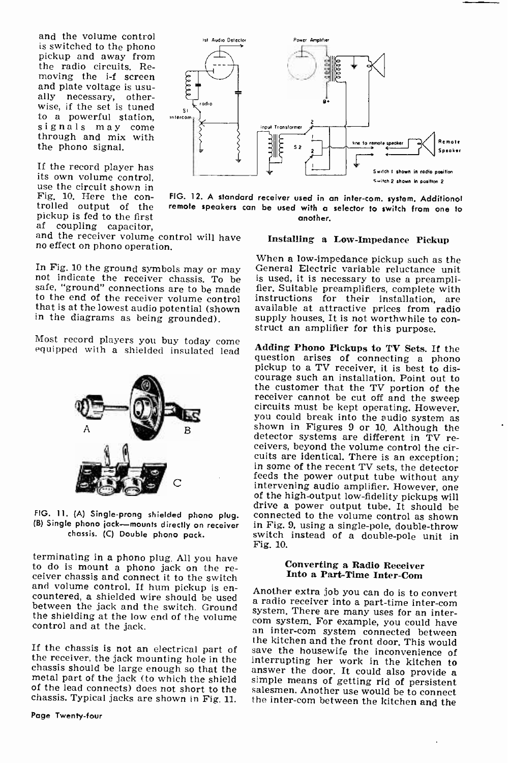and the volume control<br>is switched to the phono pickup and away from the radio circuits. Removing the i-f screen and plate voltage is usu-<br>ally necessary, otherwise, if the set is tuned  $\frac{1}{2}$ to a powerful station, intercom<br>signals may come<br>through and mix with the phono signal.

If the record player has its own volume control, use the circuit shown in Fig, 10. Here the con- trolled output of the pickup is fed to the first<br>af coupling capacitor.

and the receiver volume control will have no effect on phono operation.

safe, "ground" connections are to be made<br>to the end of the receiver volume control that is at the lowest audio potential (shown in the diagrams as being grounded).

Most record players you buy today come equipped with a shielded insulated lead

(B) Single phono jack-mounts directly on receiver chassis. (C) Double phono pack.

terminating in a phono plug. All you have to do is mount a phono jack on the re- ceiver chassis and connect it to the switch and volume control. If hum pickup is en-<br>countered, a shielded wire should be used a region people into a neutritic convert between the jack and the switch. Ground system. There are many uses for an inter-<br>the shielding at the low end of the volume com system. For example, you could have control and at the jack.

chassis should be large enough so that the answer the door. It could also provide a metal part of the jack (to which the shield simple means of getting rid of persistent of the lead connects) does not short to the salesmen of the lead connects) does not short to the chassis. Typical jacks are shown in Fig. 11.



FIG. 12. A standard receiver used in an intercom. system. Additional remote speakers can be used with a selector to switch from one to another.

### Installing a Low -Impedance Pickup

In Fig. 10 the ground symbols may or may General Electric variable reluctance unit not indicate the receiver chassis. To be is used, it is necessary to use a preamplisafe, "ground" connections are to be made fier. Suitabl When a low -impedance pickup such as the General Electric variable reluctance unit is used, it is necessary to use a preampliinstructions for their installation, are available at attractive prices from radio supply houses. It is not worthwhile to construct an amplifier for this purpose.

drive a power output tube. It should be<br>FIG. 11. (A) Single-prong shielded phono plug. connected to the volume control as shown Adding Phono Pickups to TV Sets. If the question arises of connecting a phono pickup to a TV receiver, it is best to discourage such an installation. Point out to the customer that the TV portion of the receiver cannot be cut off and the sweep circuits must be kept operating. However, you could break into the audio system as shown in Figures 9 or 10. Although the<br>detector systems are different in TV receivers, beyond the volume control the circuits are identical. There is an exception; in some of the recent TV sets, the detector feeds the power output tube without any intervening audio amplifier. However, one of the high -output low -fidelity pickups will connected to the volume control as shown in Fig. 9, using a single -pole, double -throw switch instead of a double -pole unit in Fig. 10.

### Converting a Radio Receiver Into a Part -Time Inter-Com

If the chassis is not an electrical part of the kitchen and the front door. This would<br>the receiver, the jack mounting hole in the interrupting her work in the kitchen to a radio receiver into a part-time inter-com<br>system. There are many uses for an inter-<br>com system. For example, you could have<br>an inter-com system connected between the inter-com between the kitchen and the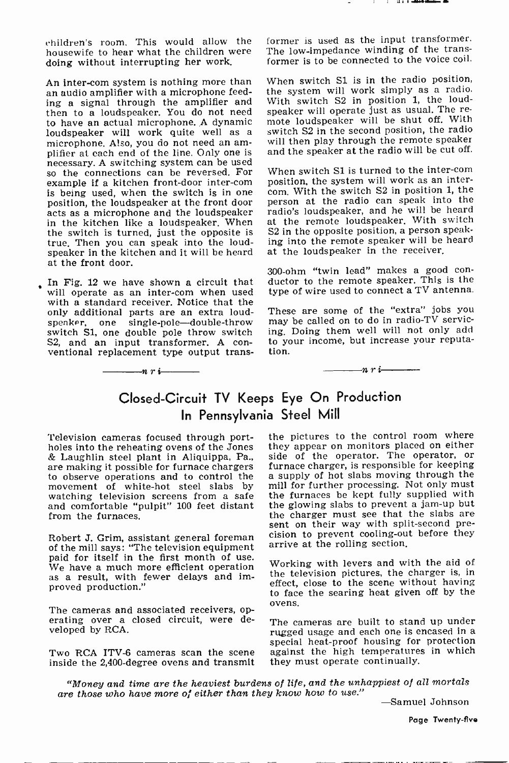children's room. This would allow the housewife to hear what the children were doing without interrupting her work.

An inter-com system is nothing more than<br>an audio amplifier with a microphone feeding a signal through the amplifier and With switch S2 in position 1, the loud-<br>then to a loudspeaker. You do not need speaker will operate just as usual. The rethen to a loudspeaker. You do not need to have an actual microphone. A dynamic loudspeaker will work quite well as a microphone. Also, you do not need an am- plifier at each end of the line. Only one is necessary. A switching system can be used<br>so the connections can be reversed. For When switch S1 is turned to the inter-com example if a kitchen front-door inter-com position, the system will work as an inter-<br>is being used, when the switch is in one com. With the switch S2 in position 1, the<br>position, the loudspeaker at the front door person a acts as a microphone and the loudspeaker in the kitchen like a loudspeaker. When the switch is turned, just the opposite is true. Then you can speak into the loudspeaker in the kitchen and it will be heard at the front door.

In Fig. 12 we have shown a circuit that will operate as an inter-com when used with a standard receiver. Notice that the only additional parts are an extra loud-<br>speaker, one single-pole--double-throw switch S1, one double pole throw switch S2, and an input transformer. A conventional replacement type output trans-

 $\frac{\cdot}{\cdot}$ nri $\frac{\cdot}{\cdot}$ 

former is used as the input transformer. The low-impedance winding of the transformer is to be connected to the voice coil.

When switch S1 is in the radio position, the system will work simply as a radio. With switch S2 in position 1, the loudmote loudspeaker will be shut off. With switch S2 in the second position, the radio will then play through the remote speaker and the speaker at the radio will be cut off.

position, the system will work as an interperson at the radio can speak into the radio's loudspeaker, and he will be heard at the remote loudspeaker. With switch S2 in the opposite position, a person speaking into the remote speaker will be heard at the loudspeaker in the receiver.

<sup>300</sup>-ohm "twin lead" makes a good con- ductor to the remote speaker. This is the type of wire used to connect a TV antenna.

These are some of the "extra" jobs you may be called on to do in radio-TV servicing. Doing them well will not only add to your income, but increase your reputation.

 $-nr-$ 

# Closed -Circuit TV Keeps Eye On Production In Pennsylvania Steel Mill

Television cameras focused through port- holes into the reheating ovens of the Jones & Laughlin steel plant in Aliquippa, Pa., are making it possible for furnace chargers furnace charger, is responsible for keeping<br>to observe operations and to control the a supply of hot slabs moving through the to observe operations and to control the movement of white-hot steel slabs by watching television screens from a safe and comfortable "pulpit" 100 feet distant from the furnaces.

Robert J. Grim, assistant general foreman of the mill says: "The television equipment paid for itself in the first month of use. We have a much more efficient operation as a result, with fewer delays and improved production."

The cameras and associated receivers, operating over a closed circuit, were developed by RCA.

the pictures to the control room where they appear on monitors placed on either side of the operator. The operator, or furnace charger, is responsible for keeping mill for further processing. Not only must the furnaces be kept fully supplied with the glowing slabs to prevent a jam-up but the charger must see that the slabs are sent on their way with split-second precision to prevent cooling-out before they arrive at the rolling section.

Working with levers and with the aid of the television pictures, the charger is, in effect, close to the scene without having to face the searing heat given off by the ovens.

special heat-proof housing for protection<br>Two RCA ITV-6 cameras scan the scene against the high temperatures in which<br>inside the 2,400-degree ovens and transmit they must operate continually. The cameras are built to stand up under rugged usage and each one is encased in a against the high temperatures in which they must operate continually.

"Money and time are the heaviest burdens of life, and the unhappiest of all mortals are those who have more of either than they know how to use."

-Samuel Johnson

Page Twenty-flve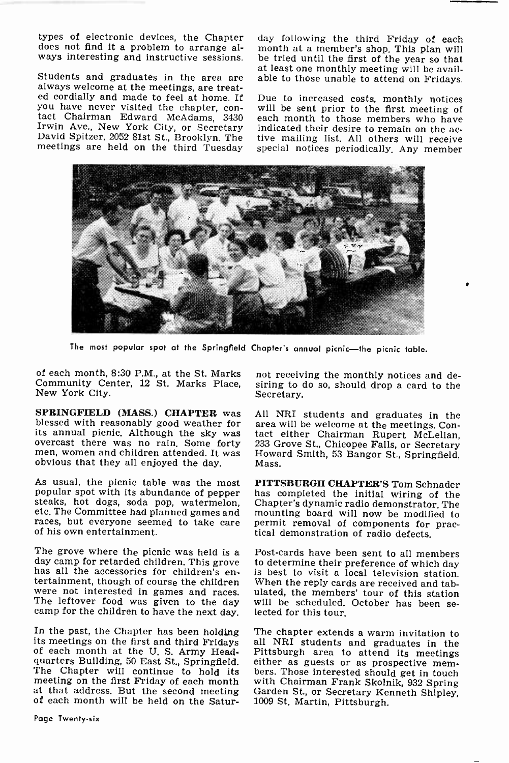types of electronic devices, the Chapter does not find it a problem to arrange always interesting and instructive sessions.

Students and graduates in the area are always welcome at the meetings, are treated cordially and made to feel at home. If<br>vou have never visited the chapter, conyou have never visit and the chairman Edward McAdams, 3430 each month to the meet who have.<br>Irwin Ave., New York City, or Secretary indicated their desire to remain on the ac-<br>David Spitzer, 2052 81st St., Brooklyn. The ti meetings are held on the third Tuesday

day following the third Friday of each month at a member's shop. This plan will be tried until the first of the year so that at least one monthly meeting will be available to those unable to attend on Fridays.

Due to increased costs, monthly notices will be sent prior to the first meeting of each month to those members who have tive mailing list. All others will receive special notices periodically. Any member



The most popular spot at the Springfield Chapter's annual picnic-the picnic table.

of each month, 8:30 P.M., at the St. Marks Community Center, 12 St. Marks Place, New York City.

SPRINGFIELD (MASS.) CHAPTER was blessed with reasonably good weather for its annual picnic. Although the sky was tact either Chairman Rupert McLellan, overcast there was no rain. Some forty 233 Grove St., Chicopee Falls, or Secretary men, women and children attended. It was obvious that they all enjoyed the day.

As usual, the picnic table was the most popular spot with its abundance of pepper has completed the initial wiring of the steaks, hot dogs, soda pop, watermelon, Chapter's dynamic radio demonstrator. The etc. The Committee had planned games and races, but everyone seemed to take care of his own entertainment.

The grove where the picnic was held is a<br>
Post-cards have been sent to all members<br>
day camp for retarded children. This grove to determine their preference of which day<br>
has all the accessories for children's enis best camp for the children to have the next day.

In the past, the Chapter has been holding its meetings on the first and third Fridays of each month at the U. S. Army Headof each month at the U.S. Army Head-<br>quarters Building, 50 East St., Springfield. either as guests or as prospective mem-<br>The Chapter will continue to hold its bers. Those interested should get in touch<br>meeting on the firs meeting on the first Friday of each month with Chairman Frank Skolnik, 932 Spring<br>at that address. But the second meeting Garden St., or Secretary Kenneth Shipley, at that address. But the second meeting of each month will be held on the Satur-

not receiving the monthly notices and desiring to do so, should drop a card to the Secretary.

All NRI students and graduates in the area will be welcome at the meetings. Contact either Chairman Rupert McLellan, Howard Smith, 53 Bangor St., Springfield, Mass.

PITTSBURGH CHAPTER'S Tom Schnader has completed the initial wiring of the permit removal of components for prac-<br>tical demonstration of radio defects.

Post-cards have been sent to all members to determine their preference of which day is best to visit a local television station. ulated, the members' tour of this station will be scheduled. October has been se-

The chapter extends a warm invitation to all NRI students and graduates in the Pittsburgh area to attend its meetings either as guests or as prospective members. Those interested should get in touch with Chairman Frank Skolnik, 932 Spring Garden St., or Secretary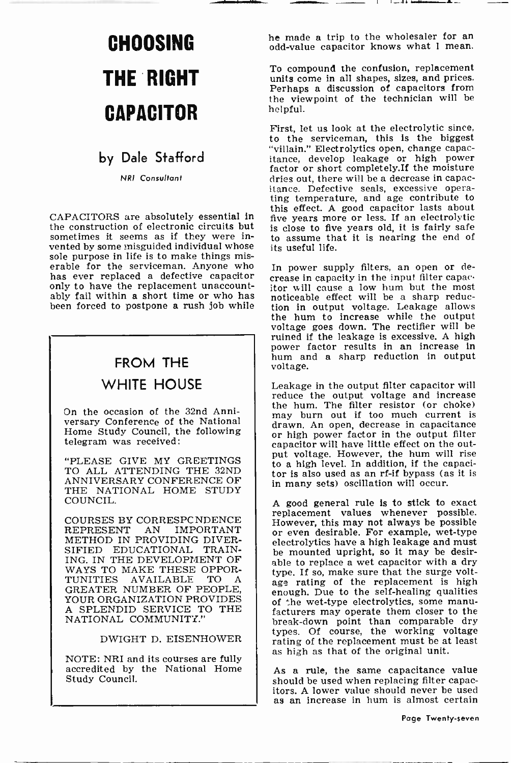# **CAPACITOR**

# by Dale Stafford

NRI Consultant

CAPACITORS are absolutely essential in the construction of electronic circuits but sometimes it seems as if they were invented by some misguided individual whose sole purpose in life is to make things miserable for the serviceman. Anyone who In power supply filters, an open or dehas ever replaced a defective capacitor  $\epsilon$  rease in capacity in the input filter capace only to have the replacement unaccountably fail within a short time or who has been forced to postpone a rush job while

# FROM THE  $\parallel$   $\frac{\text{hum} \text{ are}}{\text{voltage}}$ WHITE HOUSE

On the occasion of the 32nd Anniversary Conference of the National Home Study Council, the following telegram was received:

"PLEASE GIVE MY GREETINGS TO ALL ATTENDING THE 32ND ANNIVERSARY CONFERENCE OF THE NATIONAL HOME STUDY COUNCIL.

COURSES BY CORRESPCNDENCE<br>REPRESENT AN IMPORTANT AN IMPORTANT METHOD IN PROVIDING DIVER-SIFIED EDUCATIONAL TRAIN-ING. IN THE DEVELOPMENT OF WAYS TO MAKE THESE OPPORTUNITIES AVAILABLE TO A TUNITIES AVAILABLE TO GREATER NUMBER OF PEOPLE, YOUR ORGANIZATION PROVIDES A SPLENDID SERVICE TO THE NATIONAL COMMUNITY."

### DWIGHT D. EISENHOWER

NOTE: NRI and its courses are fully accredited by the National Home Study Council.

**CHOOSING** be made a trip to the wholesaler for an analysis of the made a trip to the wholesaler for an odd-value capacitor knows what 1 mean.

**THE RIGHT** To compound the confusion, replacement<br>units come in all shapes, sizes, and prices. Perhaps a discussion of capacitors from the viewpoint of the technician will be helpful.

> First, let us look at the electrolytic since, to the serviceman, this is the biggest "villain." Electrolytics open, change capacitance, develop leakage or high power factor or short completely.If the moisture dries out, there will be a decrease in capacitance. Defective seals, excessive opera-ting temperature, and age contribute to this effect. A good capacitor lasts about five years more or less. If an electrolytic is close to five years old, it is fairly safe to assume that it is nearing the end of its useful life.

crease in capacity in the input filter capacitor will cause a low hum but the most noticeable effect will be a sharp reduction in output voltage. Leakage allows the hum to increase while the output voltage goes down. The rectifier will be ruined if the leakage is excessive. A high power factor results in an increase in hum and a sharp reduction in output

Leakage in the output filter capacitor will reduce the output voltage and increase the hum. The filter resistor (or choke) may burn out if too much current is<br>drawn. An open, decrease in capacitance or high power factor in the output filter capacitor will have little effect on the output voltage. However, the hum will rise to a high level. In addition, if the capacitor is also used as an rf-if bypass (as it is in many sets) oscillation will occur.

A good general rule is to stick to exact replacement values whenever possible. However, this may not always be possible or even desirable. For example, wet -type electrolytics have a high leakage and must be mounted upright, so it may be desirable to replace a wet capacitor with a dry type. If so, make sure that the surge voltage rating of the replacement is high enough. Due to the self-healing qualities of The wet -type electrolytics, some manu- facturers may operate them closer to the break-down point than comparable dry types. Of course, the working voltage rating of the replacement must be at least as high as that of the original unit.

As a rule, the same capacitance value should be used when replacing filter capacitors. A lower value should never be used as an increase in hum is almost certain

Page Twenty-seven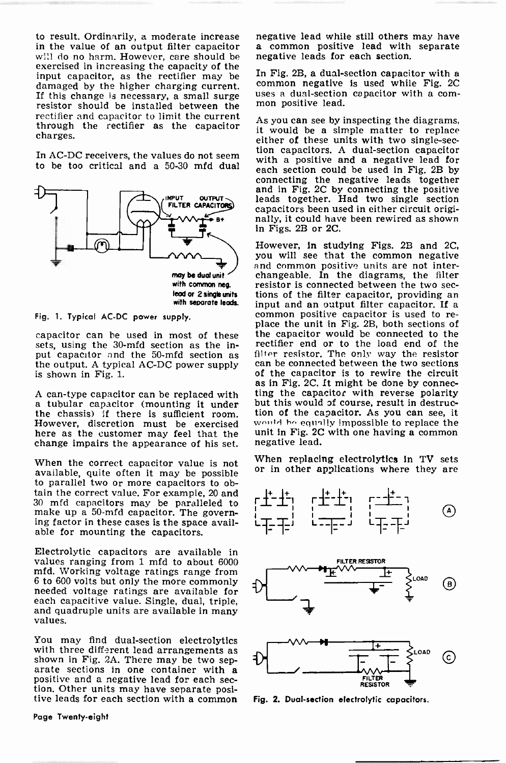in the value of an output filter capacitor a common positive lead with will do no harm. However, care should be negative leads for each section. will do no harm. However, care should be exercised in increasing the capacity of the<br>input capacitor, as the rectifier may be. In Fig. 2B, a dual-section capacitor with a input capacitor, as the rectifier may be The TB. 2B, a qual-section capacitor with a<br>damaged by the higher charging current common negative is used while Fig. 2C damaged by the higher charging current.<br>If this change is necessary, a small surge If this change is necessary, a small surge resistor should be installed between the mon positive lead. rectifier and capacitor to limit the current through the rectifier as the capacitor charges.



Fig. 1. Typical AC -DC power supply.

capacitor can he used in most of these sets, using the 30-mfd section as the in-<br>put capacitor and the 50-mfd section as the output. A typical AC-DC power supply can be connected between the two sections is shown in Fig. 1. is shown in Fig. 1.

However, discretion must be exercised here as the customer may feel that the unit in Fig. 20<br>change impairs the appearance of his set inegative lead. change impairs the appearance of his set.

available, quite often it may be possible to parallel two or more capacitors to obtain the correct value. For example, 20 and 30 mfd capacitors may be paralleled to make up a 50-mfd capacitor. The governing factor in these cases is the space available for mounting the capacitors.

Electrolytic capacitors are available in values ranging from 1 mfd to about 6000 mfd. Working voltage ratings range from needed voltage ratings are available for each capacitive value. Single, dual, triple, and quadruple units are available in many values.

You may find dual-section electrolytics<br>with three different lead arrangements as<br>shown in Fig. 2A. There may be two sep-<br>arate sections in one container with a<br>positive and a negative lead for each sec-<br>tion. Other units

to result. Ordinarily, a moderate increase in negative lead while still others may have in the value of an output filter capacitor in a common positive lead with separate negative lead while still others may have

uses a dual-section capacitor with a com-

In AC-DC receivers, the values do not seem<br>to be too critical and a 50-30 mfd dual each section could be used in Fig. 2B by As you can see by inspecting the diagrams, it would be a simple matter to replace either of these units with two single-secconnecting the negative leads together<br>and in Fig. 2C by connecting the positive<br>leads together. Had two single section capacitors been used in either circuit origi- nally, it could have been rewired as shown in Figs. 2B or 2C.

A can-type capacitor can be replaced with ting the capacitor with reverse polarity<br>a tubular capacitor (mounting it under but this would of course, result in destruc-<br>the chassis) if there is sufficient room. tion of the c However, in studying Figs. 2B and 2C, you will see that the common negative and common positive units are not interchangeable. In the diagrams, the filter resistor is connected between the two sections of the filter capacitor, providing an input and an output filter capacitor. If a common positive capacitor is used to re-<br>place the unit in Fig. 2B, both sections of the capacitor would be connected to the rectifier end or to the load end of the filter resistor. The only way the resistor as in Fig. 2C. It might be done by connec-<br>ting the capacitor with reverse polarity tion of the capacitor. As you can see, it would be equally impossible to replace the unit in Fig. 2C with one having a common

When the correct capacitor value is not When replacing electrolytics in TV sets or in other applications where they are







Fig. 2. Dual-section electrolytic capacitors.

Page Twenty-eight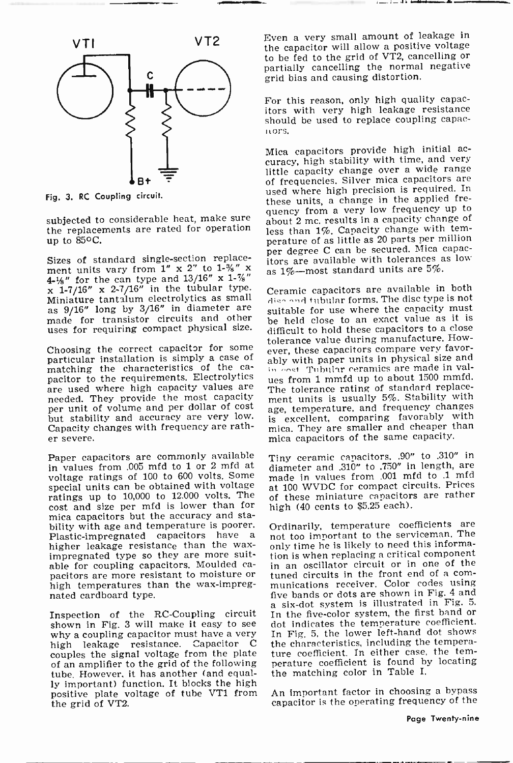

Fig. 3. RC Coupling circuit.

subjected to considerable heat, make sure the replacements are rated for operation up to 850C.

Sizes of standard single-section replacement units vary from 1" x 2" to 1-%" x ment units vary from  $1'' \times 2''$  to  $1-\frac{3}{2}'' \times \frac{1}{2}$  as  $1\%$ —most standard units are 5%.<br>  $\frac{1}{2}$  x 1-7/16" x 2-7/16" in the tubular type.<br>
Miniature tantalum electrolytics as small discound tubular forms. The disc t as 9/16" long by 3/16" in diameter are made for transistor circuits and other uses for requiring compact physical size.

Choosing the correct capacitor for some particular installation is simply a case of matching the characteristics of the capacitor to the requirements. Electrolytics use from 1 mmfd up to about 1500 mmfd.<br>are used where high capacity values are The tolerance rating of standard replaceneeded. They provide the most capacity per unit of volume and per dollar of cost but stability and accuracy are very low. Capacity changes with frequency are rather severe.

Paper capacitors are commonly available in values from .005 mfd to 1 or 2 mfd at voltage ratings of 100 to 600 volts. Some special units can be obtained with voltage ratings up to 10,000 to 12.000 volts. The cost and size per mfd is lower than for mica capacitors but the accuracy and stability with age and temperature is poorer. Ordinarily, temperature coefficients are Plastic-impregnated capacitors have a not too important to the serviceman. The Plastic -impregnated capacitors have a higher leakage resistance than the wax-<br>impregnated type so they are more suit-<br>able for coupling capacitors. Moulded capacitors are more resistant to moisture or high temperatures than the wax-impregnated cardboard type.

shown in Fig. 3 will make it easy to see why a coupling capacitor must have a very high leakage resistance. Capacitor C couples the signal voltage from the plate of an amplifier to the grid of the following tube. However, it has another (and equally important) function. It blocks the high positive plate voltage of tube VT1 from the grid of VT2.

Even a very small amount of leakage in the capacitor will allow a positive voltage to be fed to the grid of VT2, cancelling or partially cancelling the normal negative grid bias and causing distortion.

For this reason, only high quality capacitors with very high leakage resistance should be used to replace coupling capac<sup>i</sup>fors.

Mica capacitors provide high initial ac- curacy, high stability with time, and very little capacity change over a wide range of frequencies. Silver mica capacitors are used where high precision is required. In these units, a change in the applied frequency from a very low frequency up to about 2 mc. results in a capacity change of less than 1%. Capacity change with temperature of as little as 20 parts per million per degree C can be secured. Mica capacitors are available with tolerances as low

Ceramic capacitors are available in both disc and tubular forms. The disc type is not suitable for use where the capacity must be held close to an exact value as it is difficult to hold these capacitors to a close tolerance value during manufacture. However, these capacitors compare very favorably with paper units in physical size and in cost Tubular ceramics are made in val-The tolerance rating of standard replacement units is usually 5%. Stability with age, temperature, and frequency changes is excellent, comparing favorably with mica. They are smaller and cheaper than mica capacitors of the same capacity.

Tiny ceramic capacitors, .90" to .310" in diameter and .310" to .750" in length, are made in values from .001 mfd to .1 mfd at 100 WVDC for compact circuits. Prices of these miniature capacitors are rather high (40 cents to \$5.25 each).

Inspection of the RC-Coupling circuit In the five-color system, the first band or Ordinarily, temperature coefficients are only time he is likely to need this information is when replacing a critical component in an oscillator circuit or in one of the tuned circuits in the front end of a com-<br>munications receiver. Color codes using<br>five bands or dots are shown in Fig. 4 and a six-dot system is illustrated in Fig. 5. dot indicates the temperature coefficient. In Fig. 5, the lower left-hand dot shows the characteristics, including the temperature coefficient. In either case, the temperature coefficient is found by locating the matching color in Table I.

> An important factor in choosing a bypass capacitor is the operating frequency of the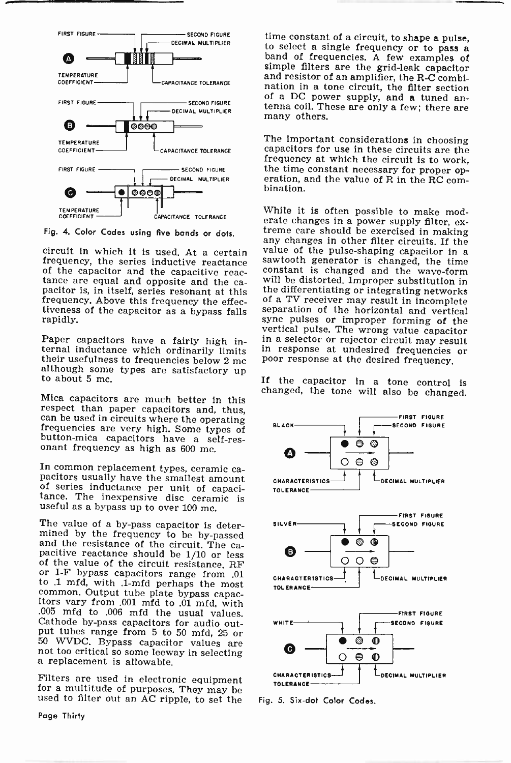

Fig. 4. Color Codes using five bands or dots.

tance are equal and opposite and the capacitor is, in itself, series resonant at this frequency. Above this frequency the effectiveness of the capacitor as a bypass falls rapidly.

Paper capacitors have a fairly high in-<br>ternal inductance which ordinarily limits<br>their usefulness to frequencies below 2 mc<br>although some types are satisfactory up<br>to about 5 mc.

changed, the tone will also be changed.<br>Mica capacitors are much better in this<br>respect than paper capacitors and, thus, can be used in circuits where the operating<br>frequencies are very high. Some types of<br>button-mica capacitors have a self-res-<br>onant frequency as high as 600 mc.

In common replacement types, ceramic ca- pacitors usually have the smallest amount of series inductance per unit of capaci- tance. The inexpensive disc ceramic is useful as a bypass up to over 100 mc.

The value of a by-pass capacitor is deter-<br>mined by the frequency to be by-passed<br>and the resistance of the circuit. The ca-<br>pacitive reactance should be 1/10 or less<br>of the value of the circuit resistance. RF or I-F bypass capacitors range from .01 to .1 mfd, with .1-mfd perhaps the most common. Output tube plate bypass capac- itors vary from .001 mfd to .01 mfd, with .005 mfd to .006 mfd the usual values. Cathode by-pass capacitors for audio out-<br>put tubes range from 5 to 50 mfd, 25 or 50 WVDC. Bypass capacitor values are not too critical so some leeway in selecting a replacement is allowable.

Filters are used in electronic equipment for a multitude of purposes. They may be used to filter out an AC ripple, to set the

Page Thirty

time constant of a circuit, to shape a pulse,<br>to select a single frequency or to pass a<br>band of frequencies. A few examples of<br>simple filters are the grid-leak capacitor<br>and resistor of an amplifier, the R-C combi-<br>nation tenna coil. These are only a few; there are many others.

The important considerations in choosing capacitors for use in these circuits are the frequency at which the circuit is to work, the time constant necessary for proper operation, and the value of R in the RC com- bination.

any changes in other filter circuits. If the<br>circuit in which it is used. At a certain value of the pulse-shaping capacitor in a<br>frequency, the series inductive reactance sawtooth generator is changed, the time<br>of the capa While it is often possible to make moderate changes in a power supply filter, ex- treme care should be exercised in making value of the pulse-shaping capacitor in a constant is changed and the wave-form<br>will be distorted. Improper substitution in the differentiating or integrating networks<br>of a TV receiver may result in incomplete separation of the horizontal and vertical<br>sync pulses or improper forming of the vertical pulse. The wrong value capacitor<br>in a selector or rejector circuit may result<br>in response at undesired frequencies or<br>poor response at the desired frequency.

If the capacitor in a tone control is



Fig. 5. Six -dot Color Codes.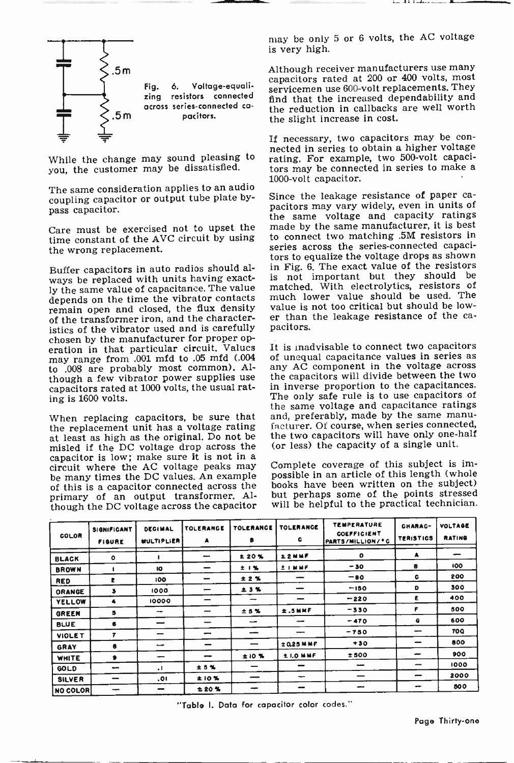

you, the customer may be dissatisfied.

The same consideration applies to an audio<br>coupling canacitor or output tube plate by-<br>Since the leakage resistance of paper cacoupling capacitor or output tube plate bypass capacitor.

Care must be exercised not to upset the time constant of the AVC circuit by using the wrong replacement.

Buffer capacitors in auto radios should always be replaced with units having exactly the same value of capacitance. The value depends on the time the vibrator contacts remain open and closed, the flux density of the transformer iron, and the characteristics of the vibrator used and is carefully pacitors. chosen by the manufacturer for proper operation in that particular circuit. Values may range from .001 mfd to .05 mfd (.004 of unequal capacitance values in series as to .008 are probably most common). Al- any AC component in the voltage across to .008 are probably most common). Alcapacitors rated at 1000 volts, the usual rating is 1600 volts.

the replacement unit has a voltage rating at least as high as the original. Do not be misled if the DC voltage drop across the capacitor is low; make sure it is not in a circuit where the AC voltage peaks may be many times the DC values. An example of this is a capacitor connected across the primary of an output transformer. Although the DC voltage across the capacitor may be only 5 or 6 volts, the AC voltage is very high.

Although receiver manufacturers use many capacitors rated at 200 or 400 volts, most servicemen use 600-volt replacements. They find that the increased dependability and the reduction in callbacks are well worth the slight increase in cost.

nected in series to obtain a higher voltage<br>While the change may sound pleasing to rating. For example, two 500-volt capaci-If necessary, two capacitors may be conrating. For example, two 500 -volt capacitors may be connected in series to make a 1000 -volt capacitor.

> pacitors may vary widely, even in units of the same voltage and capacity ratings made by the same manufacturer, it is best to connect two matching .5M resistors in series across the series-connected capacitors to equalize the voltage drops as shown in Fig. 6. The exact value of the resistors is not important but they should be matched. With electrolytics, resistors of much lower value should be used. The value is not too critical but should be lower than the leakage resistance of the ca-

When replacing capacitors, be sure that and, preferably, made by the same manu-<br>the replacement unit has a voltage rating facturer. Of course, when series connected, It is inadvisable to connect two capacitors of unequal capacitance values in series as the capacitors will divide between the two in inverse proportion to the capacitances. The only safe rule is to use capacitors of the same voltage and capacitance ratings and, preferably, made by the same manuthe two capacitors will have only one-half (or less) the capacity of a single unit.

> Complete coverage of this subject is impossible in an article of this length (whole books have been written on the subject) but perhaps some of the points stressed will be helpful to the practical technician.

| COLOR           | <b>SIGNIFICANT</b><br><b>FIGURE</b> | <b>DECIMAL</b><br><b>MULTIPLIER</b> | TOLERANGE<br>A           | <b>TOLERANCE</b><br>8 | <b>TOLERANGE</b><br>c    | <b>TEMPERATURE</b><br><b>COEFFICIENT</b><br>PARTS/MILLION/°C | CHARAC-<br><b>TERISTICS</b> | <b>VOLTAGE</b><br><b>RATING</b> |
|-----------------|-------------------------------------|-------------------------------------|--------------------------|-----------------------|--------------------------|--------------------------------------------------------------|-----------------------------|---------------------------------|
| <b>BLACK</b>    | $\mathbf{o}$                        |                                     | مبيب                     | <b>120%</b>           | 12NMF                    | $\circ$                                                      | A                           | -                               |
| <b>BROWN</b>    |                                     | 10                                  |                          | 土耳其                   | 土土网站的                    | $-30$                                                        | s                           | 100                             |
| <b>RED</b>      | ŧ                                   | 100                                 |                          | ± 2 %                 |                          | $-80$                                                        | c                           | 200                             |
| ORANGE          | з                                   | 1000                                |                          | ±3%                   |                          | $-150$                                                       | D                           | 300                             |
| <b>YELLOW</b>   | 4                                   | 10000                               | -                        | -                     | -                        | $-220$                                                       | E.                          | 400                             |
| <b>GREEN</b>    | 5                                   | -                                   | -                        | <b>±5%</b>            | ±.5MHz                   | $-330$                                                       | F                           | 500                             |
| <b>BLUE</b>     | 6                                   |                                     |                          | -                     | -                        | $-470$                                                       | G                           | 600                             |
| VIOLE T         | 7                                   | -                                   | $\overline{\phantom{a}}$ | -                     |                          | $-750$                                                       |                             | <b>70Q</b>                      |
| GRAY            | 8                                   | -                                   | -                        |                       | ±0.25 MMF                | $+30$                                                        |                             | 800                             |
| WHITE           |                                     | --                                  | $\overline{\phantom{a}}$ | ±10 %                 | <b>LLOMMF</b>            | ±500                                                         | -                           | 900                             |
| <b>GOLD</b>     | -                                   | $\cdot$                             | <b>±5%</b>               |                       | $\overline{\phantom{a}}$ | --                                                           | -                           | 1000                            |
| <b>SILVER</b>   | $\overline{\phantom{a}}$            | .01                                 | ±10%                     | --                    | -                        | -                                                            |                             | 2000                            |
| <b>NO COLOR</b> | $-$                                 | -                                   | 120%                     | -                     |                          | -                                                            |                             | 500                             |

"Table I. Data for capacitor color codes."